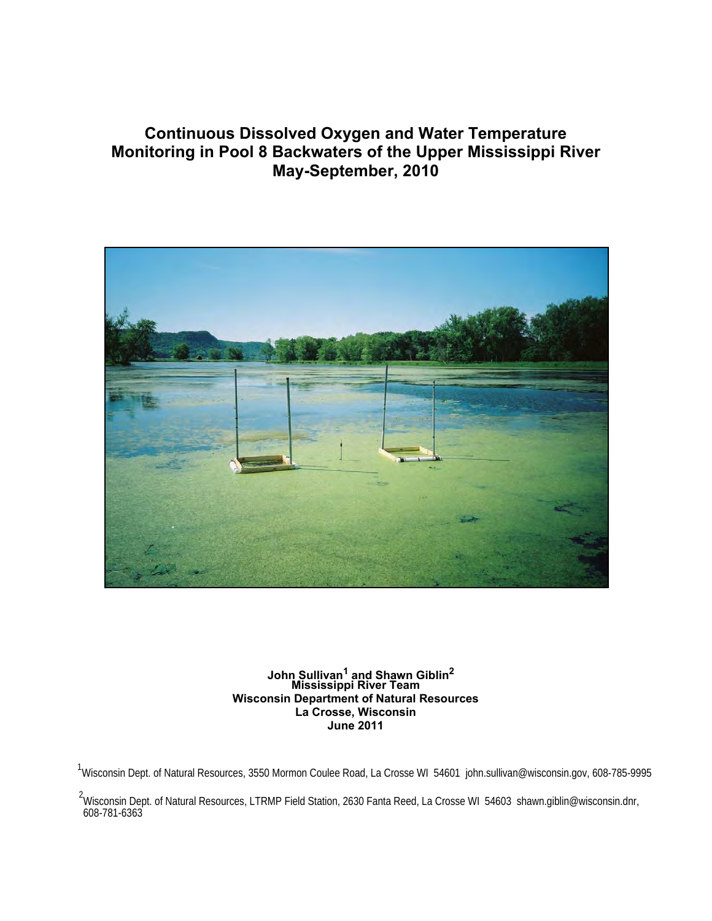# **Continuous Dissolved Oxygen and Water Temperature Monitoring in Pool 8 Backwaters of the Upper Mississippi River May-September, 2010**



**John Sullivan1 and Shawn Giblin<sup>2</sup> Mississippi River Team Wisconsin Department of Natural Resources La Crosse, Wisconsin June 2011** 

<sup>1</sup>Wisconsin Dept. of Natural Resources, 3550 Mormon Coulee Road, La Crosse WI 54601 john.sullivan@wisconsin.gov, 608-785-9995

<sup>&</sup>lt;sup>2</sup>Wisconsin Dept. of Natural Resources, LTRMP Field Station, 2630 Fanta Reed, La Crosse WI 54603 shawn.giblin@wisconsin.dnr,<br>608-781-6363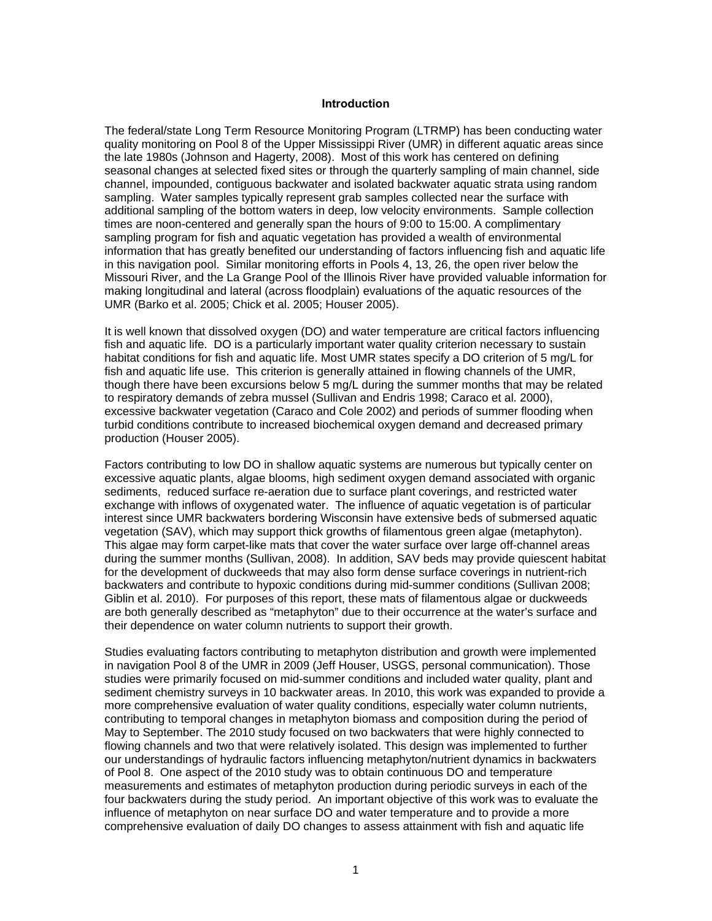#### **Introduction**

The federal/state Long Term Resource Monitoring Program (LTRMP) has been conducting water quality monitoring on Pool 8 of the Upper Mississippi River (UMR) in different aquatic areas since the late 1980s (Johnson and Hagerty, 2008). Most of this work has centered on defining seasonal changes at selected fixed sites or through the quarterly sampling of main channel, side channel, impounded, contiguous backwater and isolated backwater aquatic strata using random sampling. Water samples typically represent grab samples collected near the surface with additional sampling of the bottom waters in deep, low velocity environments. Sample collection times are noon-centered and generally span the hours of 9:00 to 15:00. A complimentary sampling program for fish and aquatic vegetation has provided a wealth of environmental information that has greatly benefited our understanding of factors influencing fish and aquatic life in this navigation pool. Similar monitoring efforts in Pools 4, 13, 26, the open river below the Missouri River, and the La Grange Pool of the Illinois River have provided valuable information for making longitudinal and lateral (across floodplain) evaluations of the aquatic resources of the UMR (Barko et al. 2005; Chick et al. 2005; Houser 2005).

It is well known that dissolved oxygen (DO) and water temperature are critical factors influencing fish and aquatic life. DO is a particularly important water quality criterion necessary to sustain habitat conditions for fish and aquatic life. Most UMR states specify a DO criterion of 5 mg/L for fish and aquatic life use. This criterion is generally attained in flowing channels of the UMR, though there have been excursions below 5 mg/L during the summer months that may be related to respiratory demands of zebra mussel (Sullivan and Endris 1998; Caraco et al. 2000), excessive backwater vegetation (Caraco and Cole 2002) and periods of summer flooding when turbid conditions contribute to increased biochemical oxygen demand and decreased primary production (Houser 2005).

Factors contributing to low DO in shallow aquatic systems are numerous but typically center on excessive aquatic plants, algae blooms, high sediment oxygen demand associated with organic sediments, reduced surface re-aeration due to surface plant coverings, and restricted water exchange with inflows of oxygenated water. The influence of aquatic vegetation is of particular interest since UMR backwaters bordering Wisconsin have extensive beds of submersed aquatic vegetation (SAV), which may support thick growths of filamentous green algae (metaphyton). This algae may form carpet-like mats that cover the water surface over large off-channel areas during the summer months (Sullivan, 2008). In addition, SAV beds may provide quiescent habitat for the development of duckweeds that may also form dense surface coverings in nutrient-rich backwaters and contribute to hypoxic conditions during mid-summer conditions (Sullivan 2008; Giblin et al. 2010). For purposes of this report, these mats of filamentous algae or duckweeds are both generally described as "metaphyton" due to their occurrence at the water's surface and their dependence on water column nutrients to support their growth.

Studies evaluating factors contributing to metaphyton distribution and growth were implemented in navigation Pool 8 of the UMR in 2009 (Jeff Houser, USGS, personal communication). Those studies were primarily focused on mid-summer conditions and included water quality, plant and sediment chemistry surveys in 10 backwater areas. In 2010, this work was expanded to provide a more comprehensive evaluation of water quality conditions, especially water column nutrients, contributing to temporal changes in metaphyton biomass and composition during the period of May to September. The 2010 study focused on two backwaters that were highly connected to flowing channels and two that were relatively isolated. This design was implemented to further our understandings of hydraulic factors influencing metaphyton/nutrient dynamics in backwaters of Pool 8. One aspect of the 2010 study was to obtain continuous DO and temperature measurements and estimates of metaphyton production during periodic surveys in each of the four backwaters during the study period. An important objective of this work was to evaluate the influence of metaphyton on near surface DO and water temperature and to provide a more comprehensive evaluation of daily DO changes to assess attainment with fish and aquatic life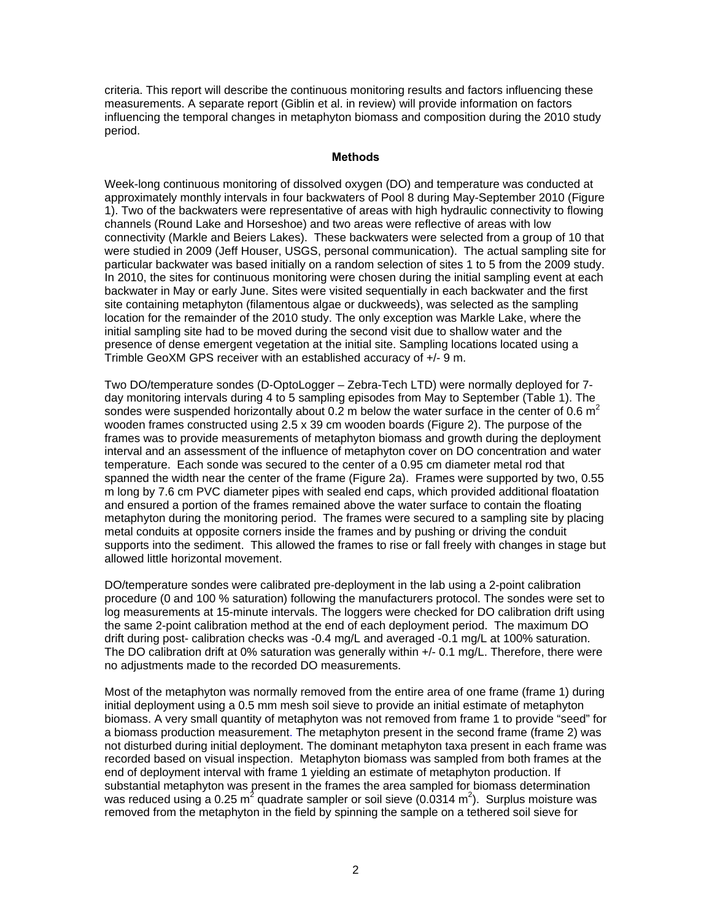criteria. This report will describe the continuous monitoring results and factors influencing these measurements. A separate report (Giblin et al. in review) will provide information on factors influencing the temporal changes in metaphyton biomass and composition during the 2010 study period.

#### **Methods**

Week-long continuous monitoring of dissolved oxygen (DO) and temperature was conducted at approximately monthly intervals in four backwaters of Pool 8 during May-September 2010 (Figure 1). Two of the backwaters were representative of areas with high hydraulic connectivity to flowing channels (Round Lake and Horseshoe) and two areas were reflective of areas with low connectivity (Markle and Beiers Lakes). These backwaters were selected from a group of 10 that were studied in 2009 (Jeff Houser, USGS, personal communication). The actual sampling site for particular backwater was based initially on a random selection of sites 1 to 5 from the 2009 study. In 2010, the sites for continuous monitoring were chosen during the initial sampling event at each backwater in May or early June. Sites were visited sequentially in each backwater and the first site containing metaphyton (filamentous algae or duckweeds), was selected as the sampling location for the remainder of the 2010 study. The only exception was Markle Lake, where the initial sampling site had to be moved during the second visit due to shallow water and the presence of dense emergent vegetation at the initial site. Sampling locations located using a Trimble GeoXM GPS receiver with an established accuracy of +/- 9 m.

Two DO/temperature sondes (D-OptoLogger – Zebra-Tech LTD) were normally deployed for 7 day monitoring intervals during 4 to 5 sampling episodes from May to September (Table 1). The sondes were suspended horizontally about 0.2 m below the water surface in the center of 0.6  $m^2$ wooden frames constructed using 2.5 x 39 cm wooden boards (Figure 2). The purpose of the frames was to provide measurements of metaphyton biomass and growth during the deployment interval and an assessment of the influence of metaphyton cover on DO concentration and water temperature. Each sonde was secured to the center of a 0.95 cm diameter metal rod that spanned the width near the center of the frame (Figure 2a). Frames were supported by two, 0.55 m long by 7.6 cm PVC diameter pipes with sealed end caps, which provided additional floatation and ensured a portion of the frames remained above the water surface to contain the floating metaphyton during the monitoring period. The frames were secured to a sampling site by placing metal conduits at opposite corners inside the frames and by pushing or driving the conduit supports into the sediment. This allowed the frames to rise or fall freely with changes in stage but allowed little horizontal movement.

DO/temperature sondes were calibrated pre-deployment in the lab using a 2-point calibration procedure (0 and 100 % saturation) following the manufacturers protocol. The sondes were set to log measurements at 15-minute intervals. The loggers were checked for DO calibration drift using the same 2-point calibration method at the end of each deployment period. The maximum DO drift during post- calibration checks was -0.4 mg/L and averaged -0.1 mg/L at 100% saturation. The DO calibration drift at 0% saturation was generally within +/- 0.1 mg/L. Therefore, there were no adjustments made to the recorded DO measurements.

Most of the metaphyton was normally removed from the entire area of one frame (frame 1) during initial deployment using a 0.5 mm mesh soil sieve to provide an initial estimate of metaphyton biomass. A very small quantity of metaphyton was not removed from frame 1 to provide "seed" for a biomass production measurement. The metaphyton present in the second frame (frame 2) was not disturbed during initial deployment. The dominant metaphyton taxa present in each frame was recorded based on visual inspection. Metaphyton biomass was sampled from both frames at the end of deployment interval with frame 1 yielding an estimate of metaphyton production. If substantial metaphyton was present in the frames the area sampled for biomass determination was reduced using a 0.25 m<sup>2</sup> quadrate sampler or soil sieve (0.0314 m<sup>2</sup>). Surplus moisture was removed from the metaphyton in the field by spinning the sample on a tethered soil sieve for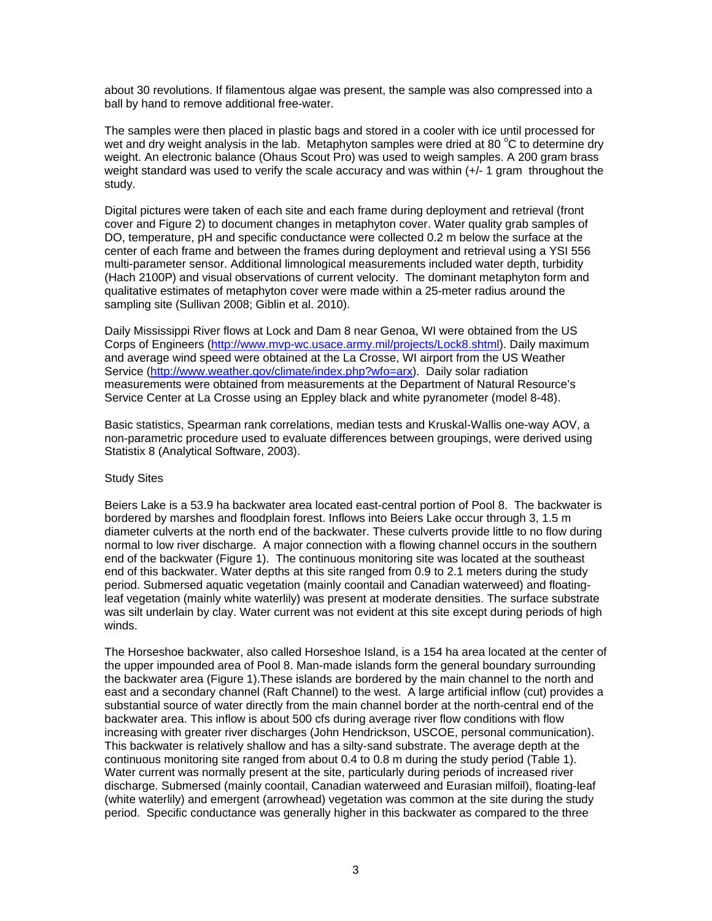about 30 revolutions. If filamentous algae was present, the sample was also compressed into a ball by hand to remove additional free-water.

The samples were then placed in plastic bags and stored in a cooler with ice until processed for wet and dry weight analysis in the lab. Metaphyton samples were dried at 80  $^{\circ}$ C to determine dry weight. An electronic balance (Ohaus Scout Pro) was used to weigh samples. A 200 gram brass weight standard was used to verify the scale accuracy and was within (+/- 1 gram throughout the study.

Digital pictures were taken of each site and each frame during deployment and retrieval (front cover and Figure 2) to document changes in metaphyton cover. Water quality grab samples of DO, temperature, pH and specific conductance were collected 0.2 m below the surface at the center of each frame and between the frames during deployment and retrieval using a YSI 556 multi-parameter sensor. Additional limnological measurements included water depth, turbidity (Hach 2100P) and visual observations of current velocity. The dominant metaphyton form and qualitative estimates of metaphyton cover were made within a 25-meter radius around the sampling site (Sullivan 2008; Giblin et al. 2010).

Daily Mississippi River flows at Lock and Dam 8 near Genoa, WI were obtained from the US Corps of Engineers (http://www.mvp-wc.usace.army.mil/projects/Lock8.shtml). Daily maximum and average wind speed were obtained at the La Crosse, WI airport from the US Weather Service (http://www.weather.gov/climate/index.php?wfo=arx). Daily solar radiation measurements were obtained from measurements at the Department of Natural Resource's Service Center at La Crosse using an Eppley black and white pyranometer (model 8-48).

Basic statistics, Spearman rank correlations, median tests and Kruskal-Wallis one-way AOV, a non-parametric procedure used to evaluate differences between groupings, were derived using Statistix 8 (Analytical Software, 2003).

## Study Sites

Beiers Lake is a 53.9 ha backwater area located east-central portion of Pool 8. The backwater is bordered by marshes and floodplain forest. Inflows into Beiers Lake occur through 3, 1.5 m diameter culverts at the north end of the backwater. These culverts provide little to no flow during normal to low river discharge. A major connection with a flowing channel occurs in the southern end of the backwater (Figure 1). The continuous monitoring site was located at the southeast end of this backwater. Water depths at this site ranged from 0.9 to 2.1 meters during the study period. Submersed aquatic vegetation (mainly coontail and Canadian waterweed) and floatingleaf vegetation (mainly white waterlily) was present at moderate densities. The surface substrate was silt underlain by clay. Water current was not evident at this site except during periods of high winds.

The Horseshoe backwater, also called Horseshoe Island, is a 154 ha area located at the center of the upper impounded area of Pool 8. Man-made islands form the general boundary surrounding the backwater area (Figure 1).These islands are bordered by the main channel to the north and east and a secondary channel (Raft Channel) to the west. A large artificial inflow (cut) provides a substantial source of water directly from the main channel border at the north-central end of the backwater area. This inflow is about 500 cfs during average river flow conditions with flow increasing with greater river discharges (John Hendrickson, USCOE, personal communication). This backwater is relatively shallow and has a silty-sand substrate. The average depth at the continuous monitoring site ranged from about 0.4 to 0.8 m during the study period (Table 1). Water current was normally present at the site, particularly during periods of increased river discharge. Submersed (mainly coontail, Canadian waterweed and Eurasian milfoil), floating-leaf (white waterlily) and emergent (arrowhead) vegetation was common at the site during the study period. Specific conductance was generally higher in this backwater as compared to the three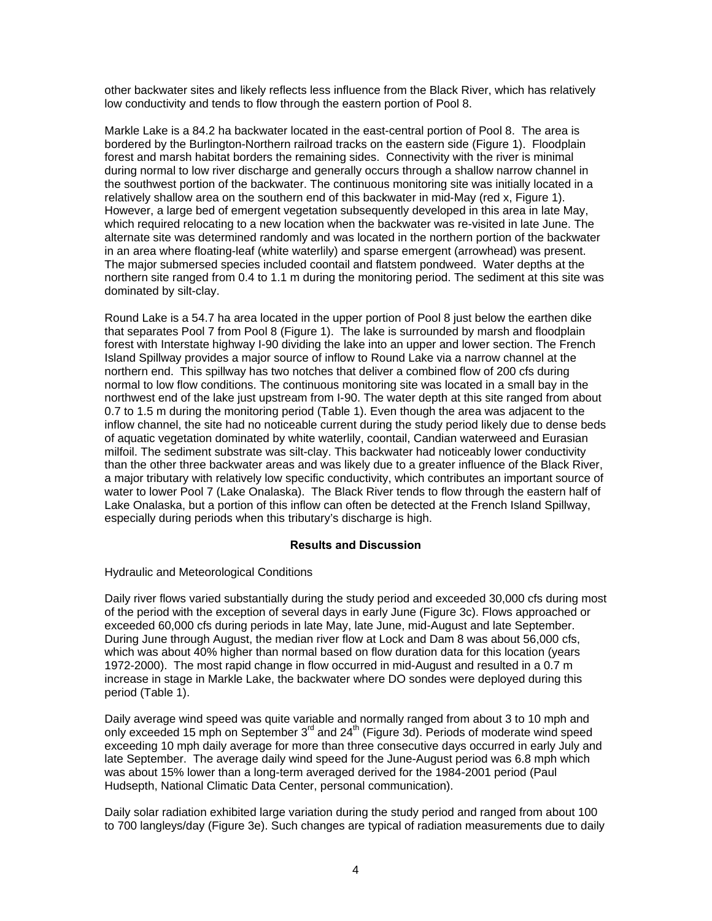other backwater sites and likely reflects less influence from the Black River, which has relatively low conductivity and tends to flow through the eastern portion of Pool 8.

Markle Lake is a 84.2 ha backwater located in the east-central portion of Pool 8. The area is bordered by the Burlington-Northern railroad tracks on the eastern side (Figure 1). Floodplain forest and marsh habitat borders the remaining sides. Connectivity with the river is minimal during normal to low river discharge and generally occurs through a shallow narrow channel in the southwest portion of the backwater. The continuous monitoring site was initially located in a relatively shallow area on the southern end of this backwater in mid-May (red x, Figure 1). However, a large bed of emergent vegetation subsequently developed in this area in late May, which required relocating to a new location when the backwater was re-visited in late June. The alternate site was determined randomly and was located in the northern portion of the backwater in an area where floating-leaf (white waterlily) and sparse emergent (arrowhead) was present. The major submersed species included coontail and flatstem pondweed. Water depths at the northern site ranged from 0.4 to 1.1 m during the monitoring period. The sediment at this site was dominated by silt-clay.

Round Lake is a 54.7 ha area located in the upper portion of Pool 8 just below the earthen dike that separates Pool 7 from Pool 8 (Figure 1). The lake is surrounded by marsh and floodplain forest with Interstate highway I-90 dividing the lake into an upper and lower section. The French Island Spillway provides a major source of inflow to Round Lake via a narrow channel at the northern end. This spillway has two notches that deliver a combined flow of 200 cfs during normal to low flow conditions. The continuous monitoring site was located in a small bay in the northwest end of the lake just upstream from I-90. The water depth at this site ranged from about 0.7 to 1.5 m during the monitoring period (Table 1). Even though the area was adjacent to the inflow channel, the site had no noticeable current during the study period likely due to dense beds of aquatic vegetation dominated by white waterlily, coontail, Candian waterweed and Eurasian milfoil. The sediment substrate was silt-clay. This backwater had noticeably lower conductivity than the other three backwater areas and was likely due to a greater influence of the Black River, a major tributary with relatively low specific conductivity, which contributes an important source of water to lower Pool 7 (Lake Onalaska). The Black River tends to flow through the eastern half of Lake Onalaska, but a portion of this inflow can often be detected at the French Island Spillway, especially during periods when this tributary's discharge is high.

# **Results and Discussion**

Hydraulic and Meteorological Conditions

Daily river flows varied substantially during the study period and exceeded 30,000 cfs during most of the period with the exception of several days in early June (Figure 3c). Flows approached or exceeded 60,000 cfs during periods in late May, late June, mid-August and late September. During June through August, the median river flow at Lock and Dam 8 was about 56,000 cfs, which was about 40% higher than normal based on flow duration data for this location (years 1972-2000). The most rapid change in flow occurred in mid-August and resulted in a 0.7 m increase in stage in Markle Lake, the backwater where DO sondes were deployed during this period (Table 1).

Daily average wind speed was quite variable and normally ranged from about 3 to 10 mph and only exceeded 15 mph on September  $3<sup>rd</sup>$  and  $24<sup>th</sup>$  (Figure 3d). Periods of moderate wind speed exceeding 10 mph daily average for more than three consecutive days occurred in early July and late September. The average daily wind speed for the June-August period was 6.8 mph which was about 15% lower than a long-term averaged derived for the 1984-2001 period (Paul Hudsepth, National Climatic Data Center, personal communication).

Daily solar radiation exhibited large variation during the study period and ranged from about 100 to 700 langleys/day (Figure 3e). Such changes are typical of radiation measurements due to daily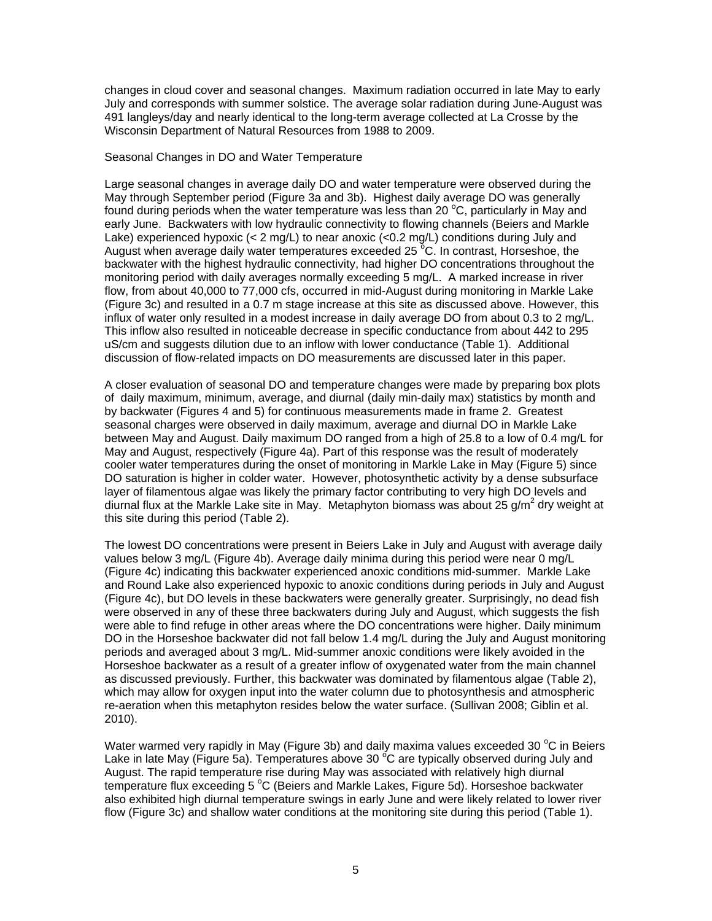changes in cloud cover and seasonal changes. Maximum radiation occurred in late May to early July and corresponds with summer solstice. The average solar radiation during June-August was 491 langleys/day and nearly identical to the long-term average collected at La Crosse by the Wisconsin Department of Natural Resources from 1988 to 2009.

#### Seasonal Changes in DO and Water Temperature

Large seasonal changes in average daily DO and water temperature were observed during the May through September period (Figure 3a and 3b). Highest daily average DO was generally found during periods when the water temperature was less than 20  $^{\circ}$ C, particularly in May and early June. Backwaters with low hydraulic connectivity to flowing channels (Beiers and Markle Lake) experienced hypoxic (< 2 mg/L) to near anoxic (<0.2 mg/L) conditions during July and August when average daily water temperatures exceeded 25<sup>°</sup>C. In contrast, Horseshoe, the backwater with the highest hydraulic connectivity, had higher DO concentrations throughout the monitoring period with daily averages normally exceeding 5 mg/L. A marked increase in river flow, from about 40,000 to 77,000 cfs, occurred in mid-August during monitoring in Markle Lake (Figure 3c) and resulted in a 0.7 m stage increase at this site as discussed above. However, this influx of water only resulted in a modest increase in daily average DO from about 0.3 to 2 mg/L. This inflow also resulted in noticeable decrease in specific conductance from about 442 to 295 uS/cm and suggests dilution due to an inflow with lower conductance (Table 1). Additional discussion of flow-related impacts on DO measurements are discussed later in this paper.

A closer evaluation of seasonal DO and temperature changes were made by preparing box plots of daily maximum, minimum, average, and diurnal (daily min-daily max) statistics by month and by backwater (Figures 4 and 5) for continuous measurements made in frame 2. Greatest seasonal charges were observed in daily maximum, average and diurnal DO in Markle Lake between May and August. Daily maximum DO ranged from a high of 25.8 to a low of 0.4 mg/L for May and August, respectively (Figure 4a). Part of this response was the result of moderately cooler water temperatures during the onset of monitoring in Markle Lake in May (Figure 5) since DO saturation is higher in colder water. However, photosynthetic activity by a dense subsurface layer of filamentous algae was likely the primary factor contributing to very high DO levels and diurnal flux at the Markle Lake site in May. Metaphyton biomass was about 25 g/m<sup>2</sup> dry weight at this site during this period (Table 2).

The lowest DO concentrations were present in Beiers Lake in July and August with average daily values below 3 mg/L (Figure 4b). Average daily minima during this period were near 0 mg/L (Figure 4c) indicating this backwater experienced anoxic conditions mid-summer. Markle Lake and Round Lake also experienced hypoxic to anoxic conditions during periods in July and August (Figure 4c), but DO levels in these backwaters were generally greater. Surprisingly, no dead fish were observed in any of these three backwaters during July and August, which suggests the fish were able to find refuge in other areas where the DO concentrations were higher. Daily minimum DO in the Horseshoe backwater did not fall below 1.4 mg/L during the July and August monitoring periods and averaged about 3 mg/L. Mid-summer anoxic conditions were likely avoided in the Horseshoe backwater as a result of a greater inflow of oxygenated water from the main channel as discussed previously. Further, this backwater was dominated by filamentous algae (Table 2), which may allow for oxygen input into the water column due to photosynthesis and atmospheric re-aeration when this metaphyton resides below the water surface. (Sullivan 2008; Giblin et al. 2010).

Water warmed very rapidly in May (Figure 3b) and daily maxima values exceeded 30  $^{\circ}$ C in Beiers Lake in late May (Figure 5a). Temperatures above 30  $\rm{^{\circ}C}$  are typically observed during July and August. The rapid temperature rise during May was associated with relatively high diurnal temperature flux exceeding 5 °C (Beiers and Markle Lakes, Figure 5d). Horseshoe backwater also exhibited high diurnal temperature swings in early June and were likely related to lower river flow (Figure 3c) and shallow water conditions at the monitoring site during this period (Table 1).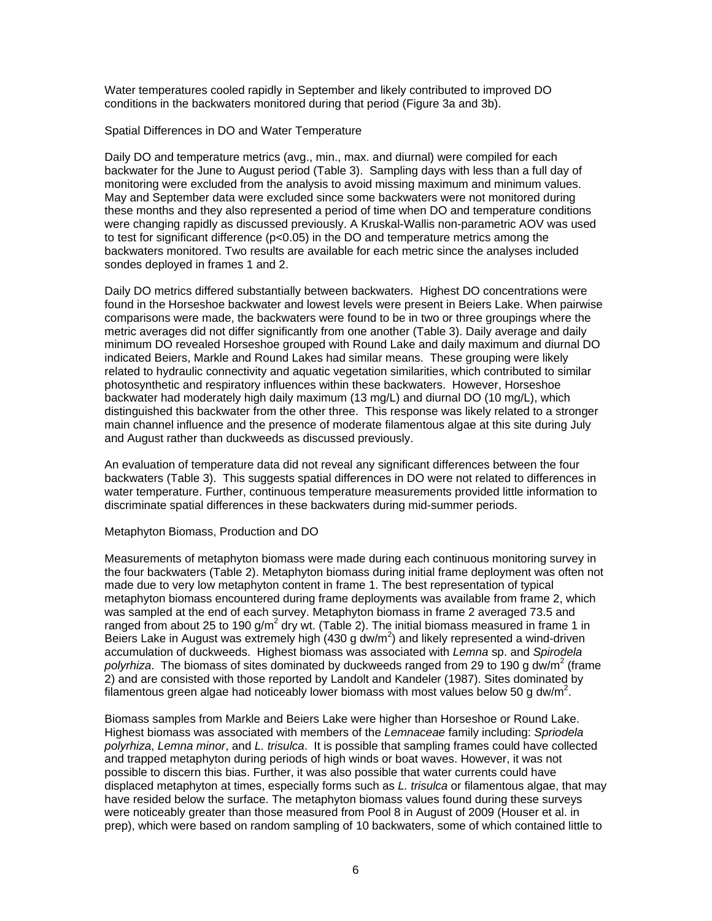Water temperatures cooled rapidly in September and likely contributed to improved DO conditions in the backwaters monitored during that period (Figure 3a and 3b).

Spatial Differences in DO and Water Temperature

Daily DO and temperature metrics (avg., min., max. and diurnal) were compiled for each backwater for the June to August period (Table 3). Sampling days with less than a full day of monitoring were excluded from the analysis to avoid missing maximum and minimum values. May and September data were excluded since some backwaters were not monitored during these months and they also represented a period of time when DO and temperature conditions were changing rapidly as discussed previously. A Kruskal-Wallis non-parametric AOV was used to test for significant difference ( $p<0.05$ ) in the DO and temperature metrics among the backwaters monitored. Two results are available for each metric since the analyses included sondes deployed in frames 1 and 2.

Daily DO metrics differed substantially between backwaters. Highest DO concentrations were found in the Horseshoe backwater and lowest levels were present in Beiers Lake. When pairwise comparisons were made, the backwaters were found to be in two or three groupings where the metric averages did not differ significantly from one another (Table 3). Daily average and daily minimum DO revealed Horseshoe grouped with Round Lake and daily maximum and diurnal DO indicated Beiers, Markle and Round Lakes had similar means. These grouping were likely related to hydraulic connectivity and aquatic vegetation similarities, which contributed to similar photosynthetic and respiratory influences within these backwaters. However, Horseshoe backwater had moderately high daily maximum (13 mg/L) and diurnal DO (10 mg/L), which distinguished this backwater from the other three. This response was likely related to a stronger main channel influence and the presence of moderate filamentous algae at this site during July and August rather than duckweeds as discussed previously.

An evaluation of temperature data did not reveal any significant differences between the four backwaters (Table 3). This suggests spatial differences in DO were not related to differences in water temperature. Further, continuous temperature measurements provided little information to discriminate spatial differences in these backwaters during mid-summer periods.

## Metaphyton Biomass, Production and DO

Measurements of metaphyton biomass were made during each continuous monitoring survey in the four backwaters (Table 2). Metaphyton biomass during initial frame deployment was often not made due to very low metaphyton content in frame 1. The best representation of typical metaphyton biomass encountered during frame deployments was available from frame 2, which was sampled at the end of each survey. Metaphyton biomass in frame 2 averaged 73.5 and ranged from about 25 to 190 g/m<sup>2</sup> dry wt. (Table 2). The initial biomass measured in frame 1 in Beiers Lake in August was extremely high (430 g dw/m<sup>2</sup>) and likely represented a wind-driven accumulation of duckweeds. Highest biomass was associated with *Lemna* sp. and *Spirodela*  polyrhiza. The biomass of sites dominated by duckweeds ranged from 29 to 190 g dw/m<sup>2</sup> (frame 2) and are consisted with those reported by Landolt and Kandeler (1987). Sites dominated by filamentous green algae had noticeably lower biomass with most values below 50 g dw/m<sup>2</sup>.

Biomass samples from Markle and Beiers Lake were higher than Horseshoe or Round Lake. Highest biomass was associated with members of the *Lemnaceae* family including: *Spriodela polyrhiza*, *Lemna minor*, and *L. trisulca*. It is possible that sampling frames could have collected and trapped metaphyton during periods of high winds or boat waves. However, it was not possible to discern this bias. Further, it was also possible that water currents could have displaced metaphyton at times, especially forms such as *L. trisulca* or filamentous algae, that may have resided below the surface. The metaphyton biomass values found during these surveys were noticeably greater than those measured from Pool 8 in August of 2009 (Houser et al. in prep), which were based on random sampling of 10 backwaters, some of which contained little to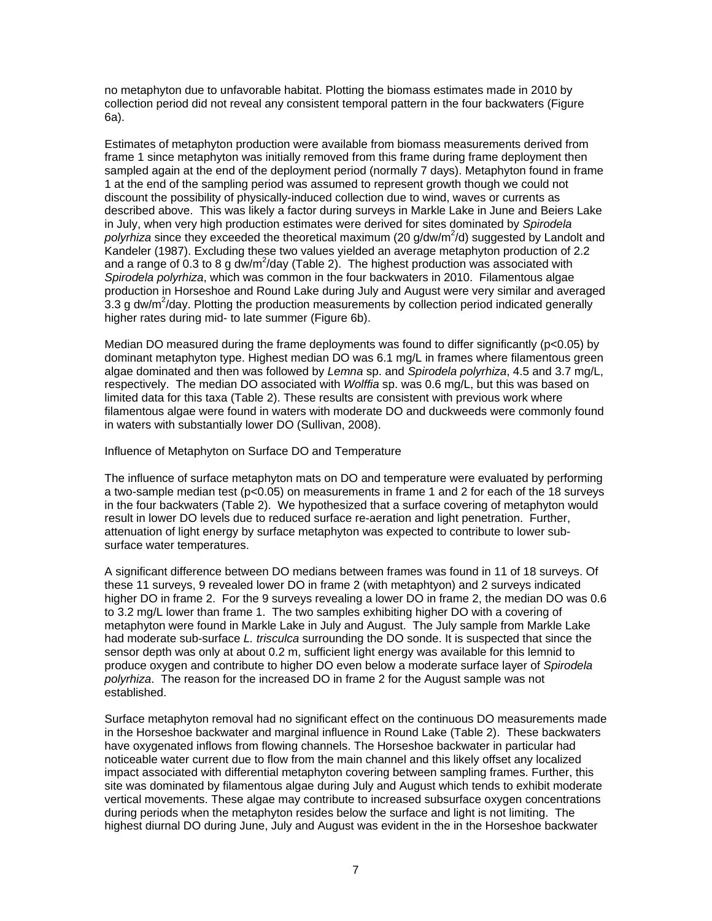no metaphyton due to unfavorable habitat. Plotting the biomass estimates made in 2010 by collection period did not reveal any consistent temporal pattern in the four backwaters (Figure 6a).

Estimates of metaphyton production were available from biomass measurements derived from frame 1 since metaphyton was initially removed from this frame during frame deployment then sampled again at the end of the deployment period (normally 7 days). Metaphyton found in frame 1 at the end of the sampling period was assumed to represent growth though we could not discount the possibility of physically-induced collection due to wind, waves or currents as described above. This was likely a factor during surveys in Markle Lake in June and Beiers Lake in July, when very high production estimates were derived for sites dominated by *Spirodela*  polyrhiza since they exceeded the theoretical maximum (20 g/dw/m<sup>2</sup>/d) suggested by Landolt and Kandeler (1987). Excluding these two values yielded an average metaphyton production of 2.2 and a range of 0.3 to 8 g dw/m<sup>2</sup>/day (Table 2). The highest production was associated with *Spirodela polyrhiza*, which was common in the four backwaters in 2010. Filamentous algae production in Horseshoe and Round Lake during July and August were very similar and averaged  $3.3$  g dw/m<sup>2</sup>/day. Plotting the production measurements by collection period indicated generally higher rates during mid- to late summer (Figure 6b).

Median DO measured during the frame deployments was found to differ significantly ( $p<0.05$ ) by dominant metaphyton type. Highest median DO was 6.1 mg/L in frames where filamentous green algae dominated and then was followed by *Lemna* sp. and *Spirodela polyrhiza*, 4.5 and 3.7 mg/L, respectively. The median DO associated with *Wolffia* sp. was 0.6 mg/L, but this was based on limited data for this taxa (Table 2). These results are consistent with previous work where filamentous algae were found in waters with moderate DO and duckweeds were commonly found in waters with substantially lower DO (Sullivan, 2008).

Influence of Metaphyton on Surface DO and Temperature

The influence of surface metaphyton mats on DO and temperature were evaluated by performing a two-sample median test (p<0.05) on measurements in frame 1 and 2 for each of the 18 surveys in the four backwaters (Table 2). We hypothesized that a surface covering of metaphyton would result in lower DO levels due to reduced surface re-aeration and light penetration. Further, attenuation of light energy by surface metaphyton was expected to contribute to lower subsurface water temperatures.

A significant difference between DO medians between frames was found in 11 of 18 surveys. Of these 11 surveys, 9 revealed lower DO in frame 2 (with metaphtyon) and 2 surveys indicated higher DO in frame 2. For the 9 surveys revealing a lower DO in frame 2, the median DO was 0.6 to 3.2 mg/L lower than frame 1. The two samples exhibiting higher DO with a covering of metaphyton were found in Markle Lake in July and August. The July sample from Markle Lake had moderate sub-surface *L. trisculca* surrounding the DO sonde. It is suspected that since the sensor depth was only at about 0.2 m, sufficient light energy was available for this lemnid to produce oxygen and contribute to higher DO even below a moderate surface layer of *Spirodela polyrhiza*. The reason for the increased DO in frame 2 for the August sample was not established.

Surface metaphyton removal had no significant effect on the continuous DO measurements made in the Horseshoe backwater and marginal influence in Round Lake (Table 2). These backwaters have oxygenated inflows from flowing channels. The Horseshoe backwater in particular had noticeable water current due to flow from the main channel and this likely offset any localized impact associated with differential metaphyton covering between sampling frames. Further, this site was dominated by filamentous algae during July and August which tends to exhibit moderate vertical movements. These algae may contribute to increased subsurface oxygen concentrations during periods when the metaphyton resides below the surface and light is not limiting. The highest diurnal DO during June, July and August was evident in the in the Horseshoe backwater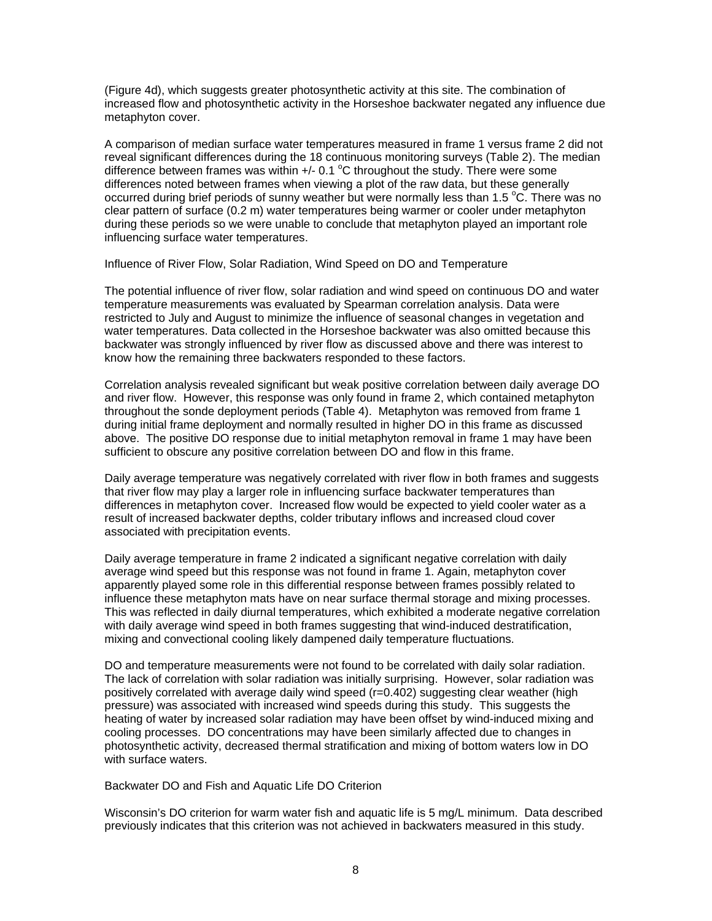(Figure 4d), which suggests greater photosynthetic activity at this site. The combination of increased flow and photosynthetic activity in the Horseshoe backwater negated any influence due metaphyton cover.

A comparison of median surface water temperatures measured in frame 1 versus frame 2 did not reveal significant differences during the 18 continuous monitoring surveys (Table 2). The median difference between frames was within  $+/- 0.1$  °C throughout the study. There were some differences noted between frames when viewing a plot of the raw data, but these generally occurred during brief periods of sunny weather but were normally less than 1.5  $\degree$ C. There was no clear pattern of surface (0.2 m) water temperatures being warmer or cooler under metaphyton during these periods so we were unable to conclude that metaphyton played an important role influencing surface water temperatures.

Influence of River Flow, Solar Radiation, Wind Speed on DO and Temperature

The potential influence of river flow, solar radiation and wind speed on continuous DO and water temperature measurements was evaluated by Spearman correlation analysis. Data were restricted to July and August to minimize the influence of seasonal changes in vegetation and water temperatures. Data collected in the Horseshoe backwater was also omitted because this backwater was strongly influenced by river flow as discussed above and there was interest to know how the remaining three backwaters responded to these factors.

Correlation analysis revealed significant but weak positive correlation between daily average DO and river flow. However, this response was only found in frame 2, which contained metaphyton throughout the sonde deployment periods (Table 4). Metaphyton was removed from frame 1 during initial frame deployment and normally resulted in higher DO in this frame as discussed above. The positive DO response due to initial metaphyton removal in frame 1 may have been sufficient to obscure any positive correlation between DO and flow in this frame.

Daily average temperature was negatively correlated with river flow in both frames and suggests that river flow may play a larger role in influencing surface backwater temperatures than differences in metaphyton cover. Increased flow would be expected to yield cooler water as a result of increased backwater depths, colder tributary inflows and increased cloud cover associated with precipitation events.

Daily average temperature in frame 2 indicated a significant negative correlation with daily average wind speed but this response was not found in frame 1. Again, metaphyton cover apparently played some role in this differential response between frames possibly related to influence these metaphyton mats have on near surface thermal storage and mixing processes. This was reflected in daily diurnal temperatures, which exhibited a moderate negative correlation with daily average wind speed in both frames suggesting that wind-induced destratification, mixing and convectional cooling likely dampened daily temperature fluctuations.

DO and temperature measurements were not found to be correlated with daily solar radiation. The lack of correlation with solar radiation was initially surprising. However, solar radiation was positively correlated with average daily wind speed (r=0.402) suggesting clear weather (high pressure) was associated with increased wind speeds during this study. This suggests the heating of water by increased solar radiation may have been offset by wind-induced mixing and cooling processes. DO concentrations may have been similarly affected due to changes in photosynthetic activity, decreased thermal stratification and mixing of bottom waters low in DO with surface waters.

Backwater DO and Fish and Aquatic Life DO Criterion

Wisconsin's DO criterion for warm water fish and aquatic life is 5 mg/L minimum. Data described previously indicates that this criterion was not achieved in backwaters measured in this study.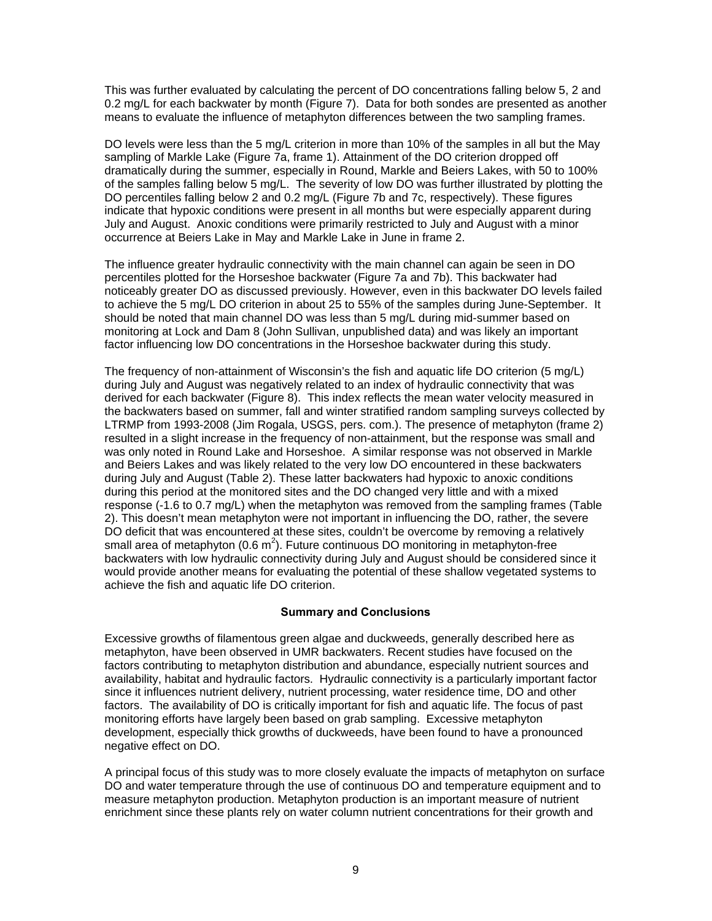This was further evaluated by calculating the percent of DO concentrations falling below 5, 2 and 0.2 mg/L for each backwater by month (Figure 7). Data for both sondes are presented as another means to evaluate the influence of metaphyton differences between the two sampling frames.

DO levels were less than the 5 mg/L criterion in more than 10% of the samples in all but the May sampling of Markle Lake (Figure 7a, frame 1). Attainment of the DO criterion dropped off dramatically during the summer, especially in Round, Markle and Beiers Lakes, with 50 to 100% of the samples falling below 5 mg/L. The severity of low DO was further illustrated by plotting the DO percentiles falling below 2 and 0.2 mg/L (Figure 7b and 7c, respectively). These figures indicate that hypoxic conditions were present in all months but were especially apparent during July and August. Anoxic conditions were primarily restricted to July and August with a minor occurrence at Beiers Lake in May and Markle Lake in June in frame 2.

The influence greater hydraulic connectivity with the main channel can again be seen in DO percentiles plotted for the Horseshoe backwater (Figure 7a and 7b). This backwater had noticeably greater DO as discussed previously. However, even in this backwater DO levels failed to achieve the 5 mg/L DO criterion in about 25 to 55% of the samples during June-September. It should be noted that main channel DO was less than 5 mg/L during mid-summer based on monitoring at Lock and Dam 8 (John Sullivan, unpublished data) and was likely an important factor influencing low DO concentrations in the Horseshoe backwater during this study.

The frequency of non-attainment of Wisconsin's the fish and aquatic life DO criterion (5 mg/L) during July and August was negatively related to an index of hydraulic connectivity that was derived for each backwater (Figure 8). This index reflects the mean water velocity measured in the backwaters based on summer, fall and winter stratified random sampling surveys collected by LTRMP from 1993-2008 (Jim Rogala, USGS, pers. com.). The presence of metaphyton (frame 2) resulted in a slight increase in the frequency of non-attainment, but the response was small and was only noted in Round Lake and Horseshoe. A similar response was not observed in Markle and Beiers Lakes and was likely related to the very low DO encountered in these backwaters during July and August (Table 2). These latter backwaters had hypoxic to anoxic conditions during this period at the monitored sites and the DO changed very little and with a mixed response (-1.6 to 0.7 mg/L) when the metaphyton was removed from the sampling frames (Table 2). This doesn't mean metaphyton were not important in influencing the DO, rather, the severe DO deficit that was encountered at these sites, couldn't be overcome by removing a relatively small area of metaphyton (0.6 m<sup>2</sup>). Future continuous DO monitoring in metaphyton-free backwaters with low hydraulic connectivity during July and August should be considered since it would provide another means for evaluating the potential of these shallow vegetated systems to achieve the fish and aquatic life DO criterion.

# **Summary and Conclusions**

Excessive growths of filamentous green algae and duckweeds, generally described here as metaphyton, have been observed in UMR backwaters. Recent studies have focused on the factors contributing to metaphyton distribution and abundance, especially nutrient sources and availability, habitat and hydraulic factors. Hydraulic connectivity is a particularly important factor since it influences nutrient delivery, nutrient processing, water residence time, DO and other factors. The availability of DO is critically important for fish and aquatic life. The focus of past monitoring efforts have largely been based on grab sampling. Excessive metaphyton development, especially thick growths of duckweeds, have been found to have a pronounced negative effect on DO.

A principal focus of this study was to more closely evaluate the impacts of metaphyton on surface DO and water temperature through the use of continuous DO and temperature equipment and to measure metaphyton production. Metaphyton production is an important measure of nutrient enrichment since these plants rely on water column nutrient concentrations for their growth and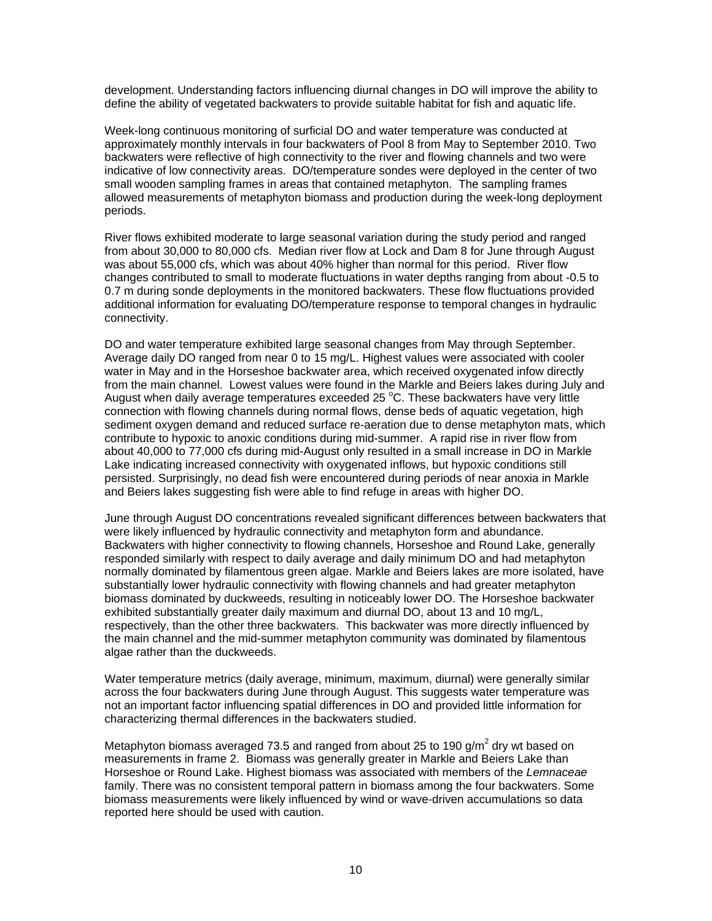development. Understanding factors influencing diurnal changes in DO will improve the ability to define the ability of vegetated backwaters to provide suitable habitat for fish and aquatic life.

Week-long continuous monitoring of surficial DO and water temperature was conducted at approximately monthly intervals in four backwaters of Pool 8 from May to September 2010. Two backwaters were reflective of high connectivity to the river and flowing channels and two were indicative of low connectivity areas. DO/temperature sondes were deployed in the center of two small wooden sampling frames in areas that contained metaphyton. The sampling frames allowed measurements of metaphyton biomass and production during the week-long deployment periods.

River flows exhibited moderate to large seasonal variation during the study period and ranged from about 30,000 to 80,000 cfs. Median river flow at Lock and Dam 8 for June through August was about 55,000 cfs, which was about 40% higher than normal for this period. River flow changes contributed to small to moderate fluctuations in water depths ranging from about -0.5 to 0.7 m during sonde deployments in the monitored backwaters. These flow fluctuations provided additional information for evaluating DO/temperature response to temporal changes in hydraulic connectivity.

DO and water temperature exhibited large seasonal changes from May through September. Average daily DO ranged from near 0 to 15 mg/L. Highest values were associated with cooler water in May and in the Horseshoe backwater area, which received oxygenated infow directly from the main channel. Lowest values were found in the Markle and Beiers lakes during July and August when daily average temperatures exceeded 25 °C. These backwaters have very little connection with flowing channels during normal flows, dense beds of aquatic vegetation, high sediment oxygen demand and reduced surface re-aeration due to dense metaphyton mats, which contribute to hypoxic to anoxic conditions during mid-summer. A rapid rise in river flow from about 40,000 to 77,000 cfs during mid-August only resulted in a small increase in DO in Markle Lake indicating increased connectivity with oxygenated inflows, but hypoxic conditions still persisted. Surprisingly, no dead fish were encountered during periods of near anoxia in Markle and Beiers lakes suggesting fish were able to find refuge in areas with higher DO.

June through August DO concentrations revealed significant differences between backwaters that were likely influenced by hydraulic connectivity and metaphyton form and abundance. Backwaters with higher connectivity to flowing channels, Horseshoe and Round Lake, generally responded similarly with respect to daily average and daily minimum DO and had metaphyton normally dominated by filamentous green algae. Markle and Beiers lakes are more isolated, have substantially lower hydraulic connectivity with flowing channels and had greater metaphyton biomass dominated by duckweeds, resulting in noticeably lower DO. The Horseshoe backwater exhibited substantially greater daily maximum and diurnal DO, about 13 and 10 mg/L, respectively, than the other three backwaters. This backwater was more directly influenced by the main channel and the mid-summer metaphyton community was dominated by filamentous algae rather than the duckweeds.

Water temperature metrics (daily average, minimum, maximum, diurnal) were generally similar across the four backwaters during June through August. This suggests water temperature was not an important factor influencing spatial differences in DO and provided little information for characterizing thermal differences in the backwaters studied.

Metaphyton biomass averaged 73.5 and ranged from about 25 to 190 g/m<sup>2</sup> dry wt based on measurements in frame 2. Biomass was generally greater in Markle and Beiers Lake than Horseshoe or Round Lake. Highest biomass was associated with members of the *Lemnaceae* family. There was no consistent temporal pattern in biomass among the four backwaters. Some biomass measurements were likely influenced by wind or wave-driven accumulations so data reported here should be used with caution.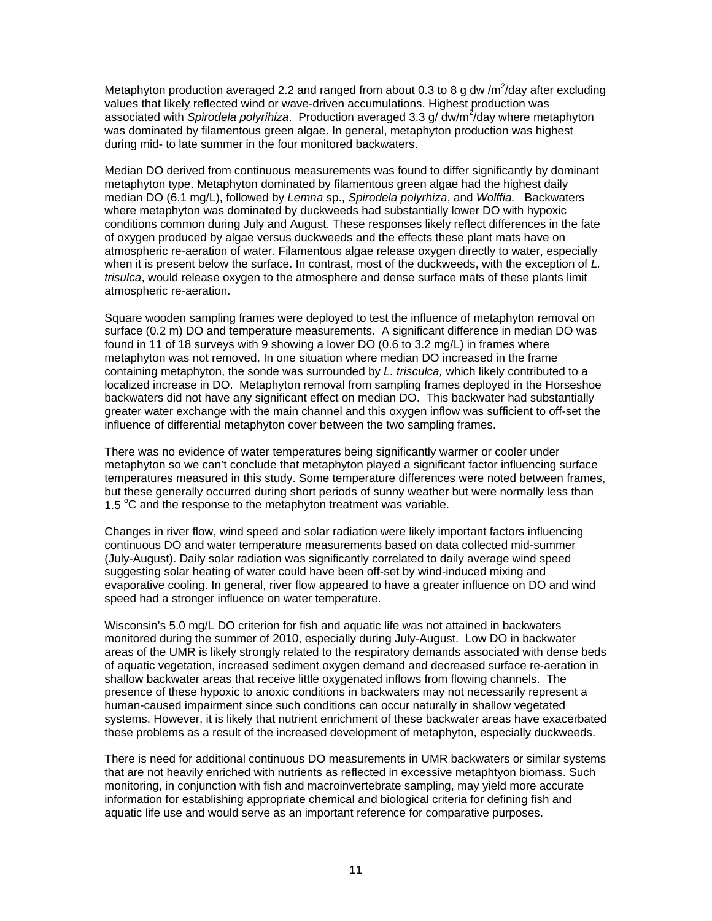Metaphyton production averaged 2.2 and ranged from about 0.3 to 8 g dw /m<sup>2</sup>/day after excluding values that likely reflected wind or wave-driven accumulations. Highest production was associated with *Spirodela polyrihiza*. Production averaged 3.3 g/ dw/m<sup>2</sup>/day where metaphyton was dominated by filamentous green algae. In general, metaphyton production was highest during mid- to late summer in the four monitored backwaters.

Median DO derived from continuous measurements was found to differ significantly by dominant metaphyton type. Metaphyton dominated by filamentous green algae had the highest daily median DO (6.1 mg/L), followed by *Lemna* sp., *Spirodela polyrhiza*, and *Wolffia.* Backwaters where metaphyton was dominated by duckweeds had substantially lower DO with hypoxic conditions common during July and August. These responses likely reflect differences in the fate of oxygen produced by algae versus duckweeds and the effects these plant mats have on atmospheric re-aeration of water. Filamentous algae release oxygen directly to water, especially when it is present below the surface. In contrast, most of the duckweeds, with the exception of *L. trisulca*, would release oxygen to the atmosphere and dense surface mats of these plants limit atmospheric re-aeration.

Square wooden sampling frames were deployed to test the influence of metaphyton removal on surface (0.2 m) DO and temperature measurements. A significant difference in median DO was found in 11 of 18 surveys with 9 showing a lower DO (0.6 to 3.2 mg/L) in frames where metaphyton was not removed. In one situation where median DO increased in the frame containing metaphyton, the sonde was surrounded by *L. trisculca,* which likely contributed to a localized increase in DO. Metaphyton removal from sampling frames deployed in the Horseshoe backwaters did not have any significant effect on median DO. This backwater had substantially greater water exchange with the main channel and this oxygen inflow was sufficient to off-set the influence of differential metaphyton cover between the two sampling frames.

There was no evidence of water temperatures being significantly warmer or cooler under metaphyton so we can't conclude that metaphyton played a significant factor influencing surface temperatures measured in this study. Some temperature differences were noted between frames, but these generally occurred during short periods of sunny weather but were normally less than 1.5 °C and the response to the metaphyton treatment was variable.

Changes in river flow, wind speed and solar radiation were likely important factors influencing continuous DO and water temperature measurements based on data collected mid-summer (July-August). Daily solar radiation was significantly correlated to daily average wind speed suggesting solar heating of water could have been off-set by wind-induced mixing and evaporative cooling. In general, river flow appeared to have a greater influence on DO and wind speed had a stronger influence on water temperature.

Wisconsin's 5.0 mg/L DO criterion for fish and aquatic life was not attained in backwaters monitored during the summer of 2010, especially during July-August. Low DO in backwater areas of the UMR is likely strongly related to the respiratory demands associated with dense beds of aquatic vegetation, increased sediment oxygen demand and decreased surface re-aeration in shallow backwater areas that receive little oxygenated inflows from flowing channels. The presence of these hypoxic to anoxic conditions in backwaters may not necessarily represent a human-caused impairment since such conditions can occur naturally in shallow vegetated systems. However, it is likely that nutrient enrichment of these backwater areas have exacerbated these problems as a result of the increased development of metaphyton, especially duckweeds.

There is need for additional continuous DO measurements in UMR backwaters or similar systems that are not heavily enriched with nutrients as reflected in excessive metaphtyon biomass. Such monitoring, in conjunction with fish and macroinvertebrate sampling, may yield more accurate information for establishing appropriate chemical and biological criteria for defining fish and aquatic life use and would serve as an important reference for comparative purposes.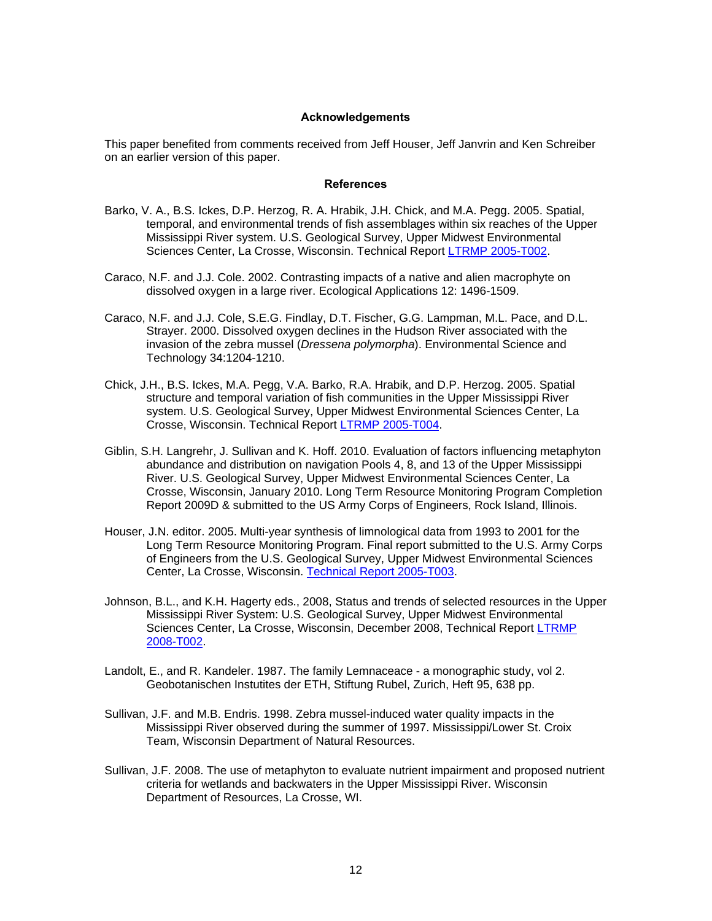#### **Acknowledgements**

This paper benefited from comments received from Jeff Houser, Jeff Janvrin and Ken Schreiber on an earlier version of this paper.

#### **References**

- Barko, V. A., B.S. Ickes, D.P. Herzog, R. A. Hrabik, J.H. Chick, and M.A. Pegg. 2005. Spatial, temporal, and environmental trends of fish assemblages within six reaches of the Upper Mississippi River system. U.S. Geological Survey, Upper Midwest Environmental Sciences Center, La Crosse, Wisconsin. Technical Report LTRMP 2005-T002.
- Caraco, N.F. and J.J. Cole. 2002. Contrasting impacts of a native and alien macrophyte on dissolved oxygen in a large river. Ecological Applications 12: 1496-1509.
- Caraco, N.F. and J.J. Cole, S.E.G. Findlay, D.T. Fischer, G.G. Lampman, M.L. Pace, and D.L. Strayer. 2000. Dissolved oxygen declines in the Hudson River associated with the invasion of the zebra mussel (*Dressena polymorpha*). Environmental Science and Technology 34:1204-1210.
- Chick, J.H., B.S. Ickes, M.A. Pegg, V.A. Barko, R.A. Hrabik, and D.P. Herzog. 2005. Spatial structure and temporal variation of fish communities in the Upper Mississippi River system. U.S. Geological Survey, Upper Midwest Environmental Sciences Center, La Crosse, Wisconsin. Technical Report LTRMP 2005-T004.
- Giblin, S.H. Langrehr, J. Sullivan and K. Hoff. 2010. Evaluation of factors influencing metaphyton abundance and distribution on navigation Pools 4, 8, and 13 of the Upper Mississippi River. U.S. Geological Survey, Upper Midwest Environmental Sciences Center, La Crosse, Wisconsin, January 2010. Long Term Resource Monitoring Program Completion Report 2009D & submitted to the US Army Corps of Engineers, Rock Island, Illinois.
- Houser, J.N. editor. 2005. Multi-year synthesis of limnological data from 1993 to 2001 for the Long Term Resource Monitoring Program. Final report submitted to the U.S. Army Corps of Engineers from the U.S. Geological Survey, Upper Midwest Environmental Sciences Center, La Crosse, Wisconsin. Technical Report 2005-T003.
- Johnson, B.L., and K.H. Hagerty eds., 2008, Status and trends of selected resources in the Upper Mississippi River System: U.S. Geological Survey, Upper Midwest Environmental Sciences Center, La Crosse, Wisconsin, December 2008, Technical Report LTRMP 2008-T002.
- Landolt, E., and R. Kandeler. 1987. The family Lemnaceace a monographic study, vol 2. Geobotanischen Instutites der ETH, Stiftung Rubel, Zurich, Heft 95, 638 pp.
- Sullivan, J.F. and M.B. Endris. 1998. Zebra mussel-induced water quality impacts in the Mississippi River observed during the summer of 1997. Mississippi/Lower St. Croix Team, Wisconsin Department of Natural Resources.
- Sullivan, J.F. 2008. The use of metaphyton to evaluate nutrient impairment and proposed nutrient criteria for wetlands and backwaters in the Upper Mississippi River. Wisconsin Department of Resources, La Crosse, WI.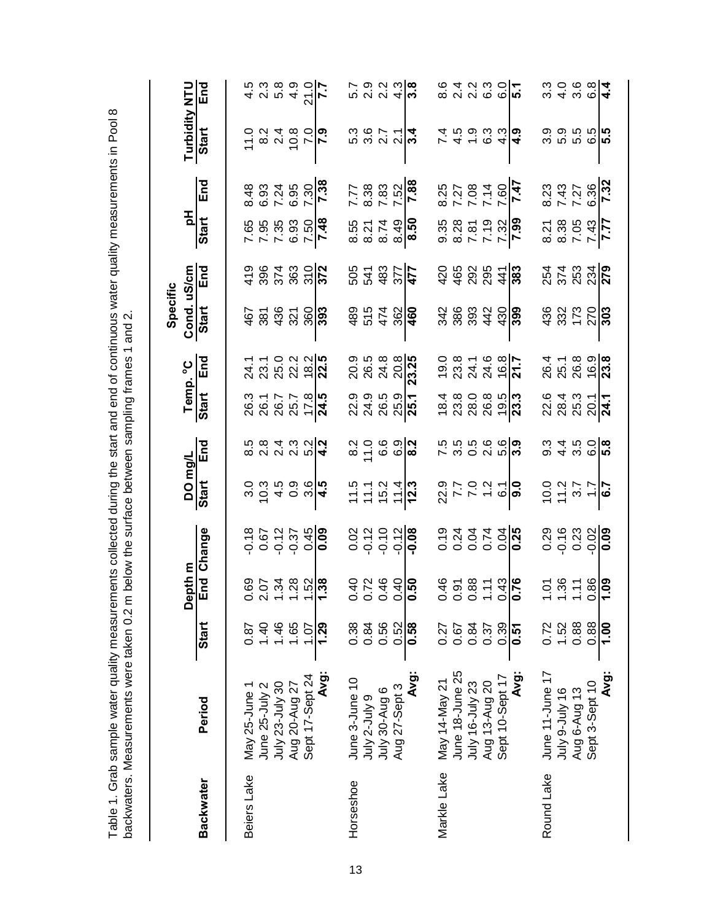|                  | Dackwaters. Measurements were taken u.2 h |                     |                                                                                                    | <b>NORGE SHIPS INTO DEVELOP AND ASSESSMENT SHIPS AND A SHIPS IN A SHIPS IN A SHIPS IN A SHIPS IN A SHIPS IN A SHIPS IN A SHIPS IN A SHIPS IN A SHIPS IN A SHIPS IN A SHIPS IN A SHIPS IN A SHIPS IN A SHIPS IN A SHIPS IN A SHIP</b> |                                                        |                                                         |                                                                                  |                                                             |                               |                                                                                                                                                                                                                                                                                                                                |                                               |                                                |                                                                                                                                                                                                  |                                                                                                                        |
|------------------|-------------------------------------------|---------------------|----------------------------------------------------------------------------------------------------|--------------------------------------------------------------------------------------------------------------------------------------------------------------------------------------------------------------------------------------|--------------------------------------------------------|---------------------------------------------------------|----------------------------------------------------------------------------------|-------------------------------------------------------------|-------------------------------|--------------------------------------------------------------------------------------------------------------------------------------------------------------------------------------------------------------------------------------------------------------------------------------------------------------------------------|-----------------------------------------------|------------------------------------------------|--------------------------------------------------------------------------------------------------------------------------------------------------------------------------------------------------|------------------------------------------------------------------------------------------------------------------------|
|                  |                                           |                     | m upde<br>മ്                                                                                       |                                                                                                                                                                                                                                      |                                                        |                                                         |                                                                                  |                                                             | Specific                      |                                                                                                                                                                                                                                                                                                                                | 질                                             |                                                | Turbidity NTU                                                                                                                                                                                    |                                                                                                                        |
| <b>Backwater</b> | Period                                    | Start               |                                                                                                    | End Change                                                                                                                                                                                                                           | DO mg/L<br>Start End                                   | End                                                     | Temp. <sup>o</sup> C<br>Start End                                                | End                                                         | Cond. uS/cm<br>Start End      |                                                                                                                                                                                                                                                                                                                                | Start                                         | End                                            | Start                                                                                                                                                                                            | End                                                                                                                    |
| Beiers Lake      | May 25-June                               | 0.87                |                                                                                                    |                                                                                                                                                                                                                                      |                                                        |                                                         |                                                                                  |                                                             |                               |                                                                                                                                                                                                                                                                                                                                |                                               |                                                |                                                                                                                                                                                                  |                                                                                                                        |
|                  | June 25-July 2                            | $01$ .              | $\mathbb{S} \stackrel{\sim}{\circ} \mathbb{S}$ $\mathbb{S}$ $\mathbb{S}$ $\mathbb{S}$ $\mathbb{S}$ |                                                                                                                                                                                                                                      | ပင် 4 ဝ ယူ <mark> 4</mark><br>၁ မ မ မ မ <mark>မ</mark> |                                                         |                                                                                  | ិ ។ ក្នុង ។<br>ក្នុង ក្នុង <mark>។ មា</mark><br>ក្នុង ក្នុង | $67700$<br>$67700$<br>$693$   |                                                                                                                                                                                                                                                                                                                                | 85<br>65.35<br>65.95<br>65. <mark>47</mark>   |                                                | $5 \times 10$<br>$5 \times 10$<br>$5 \times 10$<br>$5 \times 10$                                                                                                                                 |                                                                                                                        |
|                  | July 23-July 30                           | 1.46                |                                                                                                    |                                                                                                                                                                                                                                      |                                                        |                                                         |                                                                                  |                                                             |                               |                                                                                                                                                                                                                                                                                                                                |                                               |                                                |                                                                                                                                                                                                  |                                                                                                                        |
|                  | Aug 20-Aug 27                             | 1.65                |                                                                                                    |                                                                                                                                                                                                                                      |                                                        |                                                         |                                                                                  |                                                             |                               |                                                                                                                                                                                                                                                                                                                                |                                               |                                                |                                                                                                                                                                                                  |                                                                                                                        |
|                  | Sept 17-Sept 24                           | S.                  |                                                                                                    |                                                                                                                                                                                                                                      |                                                        |                                                         |                                                                                  |                                                             |                               |                                                                                                                                                                                                                                                                                                                                |                                               |                                                |                                                                                                                                                                                                  |                                                                                                                        |
|                  | Avg:                                      | 1.29                |                                                                                                    |                                                                                                                                                                                                                                      |                                                        |                                                         |                                                                                  |                                                             |                               |                                                                                                                                                                                                                                                                                                                                |                                               |                                                |                                                                                                                                                                                                  |                                                                                                                        |
| Horseshoe        | June 3-June 10                            | 0.38                |                                                                                                    |                                                                                                                                                                                                                                      | $1.5$<br>$1.7$<br>$1.7$<br>$1.4$<br>$1.3$<br>$1.3$     |                                                         |                                                                                  |                                                             |                               |                                                                                                                                                                                                                                                                                                                                |                                               |                                                | $3.60 - 4.00$                                                                                                                                                                                    |                                                                                                                        |
|                  | 9<br>Vinc-z vinc                          | 0.84                |                                                                                                    |                                                                                                                                                                                                                                      |                                                        |                                                         |                                                                                  |                                                             |                               |                                                                                                                                                                                                                                                                                                                                |                                               |                                                |                                                                                                                                                                                                  |                                                                                                                        |
|                  | July 30-Aug 6<br>Aug 27-Sept 3            | 0.56                | 3.749                                                                                              | 0.2<br>0.12<br>0.0.1 <mark>0.0</mark>                                                                                                                                                                                                |                                                        | ္ ၁ ဖ စ္ပ <mark>ါလ</mark><br>လ – ဖ ဖ <mark>စ</mark>     | 0 0 0 0 0 <mark>1</mark><br>2 3 9 9 <mark>0 0</mark><br>0 2 9 9 <mark>0 0</mark> |                                                             | 854 304<br>854 304            | 2024<br>2025<br>2024<br>2025                                                                                                                                                                                                                                                                                                   |                                               |                                                |                                                                                                                                                                                                  | n o o o a <mark>lo</mark><br>P o o o a <mark>lo</mark>                                                                 |
|                  |                                           | 0.52                |                                                                                                    |                                                                                                                                                                                                                                      |                                                        |                                                         |                                                                                  |                                                             |                               |                                                                                                                                                                                                                                                                                                                                |                                               |                                                |                                                                                                                                                                                                  |                                                                                                                        |
|                  | Avg:                                      | 0.58                |                                                                                                    |                                                                                                                                                                                                                                      |                                                        |                                                         |                                                                                  |                                                             |                               |                                                                                                                                                                                                                                                                                                                                | 852749<br>82749<br>830                        | $7.77$<br>$8.38$<br>$7.52$<br>$7.82$<br>$7.88$ |                                                                                                                                                                                                  |                                                                                                                        |
| Markle Lake      | Nay 14-May 21                             | 0.27                |                                                                                                    |                                                                                                                                                                                                                                      |                                                        |                                                         |                                                                                  |                                                             |                               |                                                                                                                                                                                                                                                                                                                                |                                               |                                                |                                                                                                                                                                                                  |                                                                                                                        |
|                  | June 18-June 25                           | 0.67                | $3.387$<br>$3.87$<br>$-3.49$<br>$-3.76$                                                            | 000000<br>0000000<br>0000000                                                                                                                                                                                                         | $2277779$<br>$77779$<br>$-69$                          | n n o o o<br>က ဝ လ က် <mark>က</mark>                    | c 2 2 2 2 2 <mark>2 2</mark><br>4 3 3 3 5 <mark>2 2</mark>                       |                                                             | $389420$<br>$389420$<br>$399$ | $\begin{array}{c} 0 & 0 & 0 & 0 \\ 0 & 0 & 0 & 0 \\ 0 & 0 & 0 & 0 \\ 0 & 0 & 0 & 0 \\ 0 & 0 & 0 & 0 \\ 0 & 0 & 0 & 0 \\ 0 & 0 & 0 & 0 \\ 0 & 0 & 0 & 0 \\ 0 & 0 & 0 & 0 \\ 0 & 0 & 0 & 0 \\ 0 & 0 & 0 & 0 \\ 0 & 0 & 0 & 0 \\ 0 & 0 & 0 & 0 & 0 \\ 0 & 0 & 0 & 0 & 0 \\ 0 & 0 & 0 & 0 & 0 \\ 0 & 0 & 0 & 0 & 0 \\ 0 & 0 & 0 &$ | 0.35<br>0.87<br>0.97<br>0.9 <mark>0.</mark> 7 | 141<br>2011<br>2012<br>2014<br>2022            | $\frac{1}{4}$ $\frac{4}{10}$ $\frac{1}{9}$ $\frac{3}{10}$ $\frac{3}{10}$ $\frac{3}{10}$ $\frac{3}{10}$ $\frac{3}{10}$ $\frac{4}{10}$ $\frac{4}{10}$ $\frac{5}{10}$ $\frac{6}{10}$ $\frac{1}{10}$ | $\begin{array}{c} \circ & \circ & \circ \\ \circ & \circ & \circ & \circ \\ \circ & \circ & \circ & \circ \end{array}$ |
|                  | July 16-July 23                           | 0.84                |                                                                                                    |                                                                                                                                                                                                                                      |                                                        |                                                         |                                                                                  |                                                             |                               |                                                                                                                                                                                                                                                                                                                                |                                               |                                                |                                                                                                                                                                                                  |                                                                                                                        |
|                  | Aug 13-Aug 20                             | 0.37                |                                                                                                    |                                                                                                                                                                                                                                      |                                                        |                                                         |                                                                                  |                                                             |                               |                                                                                                                                                                                                                                                                                                                                |                                               |                                                |                                                                                                                                                                                                  |                                                                                                                        |
|                  | Sept 10-Sept 17                           | $\frac{0.39}{0.51}$ |                                                                                                    |                                                                                                                                                                                                                                      |                                                        |                                                         |                                                                                  |                                                             |                               |                                                                                                                                                                                                                                                                                                                                |                                               |                                                |                                                                                                                                                                                                  |                                                                                                                        |
|                  | iĝ<br><br>Nai                             |                     |                                                                                                    |                                                                                                                                                                                                                                      |                                                        |                                                         |                                                                                  |                                                             |                               |                                                                                                                                                                                                                                                                                                                                |                                               |                                                |                                                                                                                                                                                                  |                                                                                                                        |
| Round Lake       | June 11-June 17                           | 0.72                |                                                                                                    |                                                                                                                                                                                                                                      |                                                        |                                                         |                                                                                  |                                                             |                               |                                                                                                                                                                                                                                                                                                                                | 27<br>838<br>838<br>847<br>877                | 83778<br>74378<br>83 <mark>779</mark>          |                                                                                                                                                                                                  |                                                                                                                        |
|                  | July 9-July 16<br>Aug 6-Aug 13            | 1.52                |                                                                                                    |                                                                                                                                                                                                                                      |                                                        |                                                         |                                                                                  |                                                             |                               |                                                                                                                                                                                                                                                                                                                                |                                               |                                                |                                                                                                                                                                                                  |                                                                                                                        |
|                  |                                           | 0.88                |                                                                                                    |                                                                                                                                                                                                                                      |                                                        |                                                         |                                                                                  |                                                             |                               |                                                                                                                                                                                                                                                                                                                                |                                               |                                                |                                                                                                                                                                                                  |                                                                                                                        |
|                  | Sept 3-Sept 10                            | 0.88                | <u> ၁ မို – စွဲခြ</u>                                                                              | 0<br>0<br>0<br>0<br>0<br>0<br>0<br>0<br>0<br>0<br>0<br>0<br>0<br>0<br>0                                                                                                                                                              | $0.277$<br>$-1.7$<br>$-1.7$<br>$-1.7$                  | 0<br>0 4 0 0 <mark>10</mark><br>0 4 0 0 <mark>10</mark> |                                                                                  |                                                             | $337200$<br>$37700$           | 222220222                                                                                                                                                                                                                                                                                                                      |                                               |                                                | တ္တံ ကို ကို<br>ပြဲ ကို ကို ကို                                                                                                                                                                  |                                                                                                                        |
|                  | <b>Avg:</b>                               | 00.1                |                                                                                                    |                                                                                                                                                                                                                                      |                                                        |                                                         |                                                                                  |                                                             |                               |                                                                                                                                                                                                                                                                                                                                |                                               |                                                |                                                                                                                                                                                                  |                                                                                                                        |

Table 1. Grab sample water quality measurements collected during the start and end of continuous water quality measurements in Pool 8<br>backwaters Measurements were taken 0.2 m below the surface between sampling frames 1 and Table 1. Grab sample water quality measurements collected during the start and end of continuous water quality measurements in Pool 8 backwaters. Measurements were taken 0.2 m below the surface between sampling frames 1 and 2.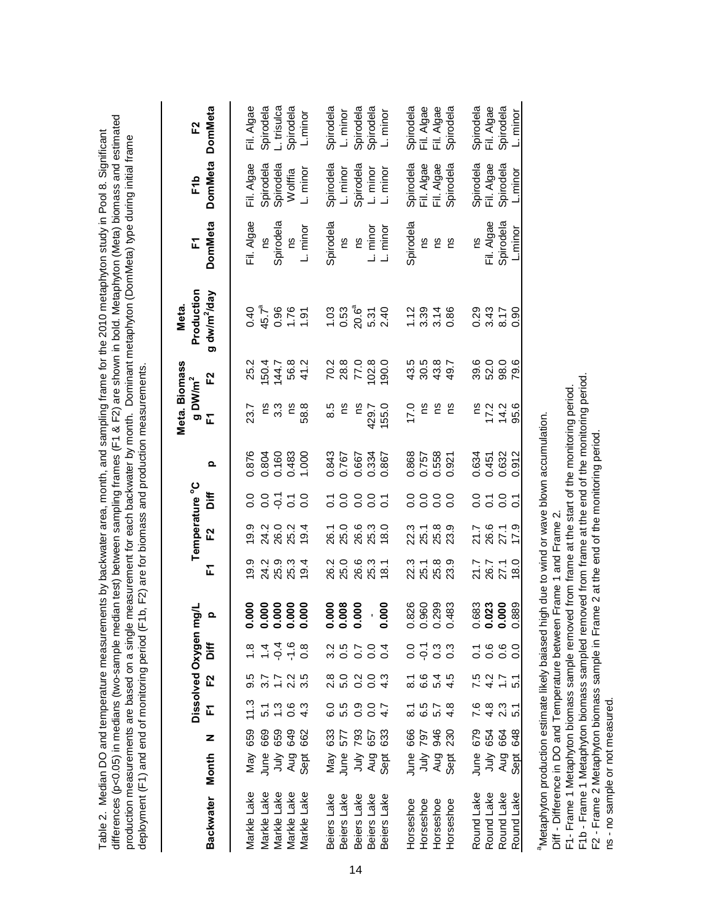| production measurements are based on a single measurement for each backwater by month. Dominant metaphyton (DomMeta) type during initial frame |
|------------------------------------------------------------------------------------------------------------------------------------------------|
|------------------------------------------------------------------------------------------------------------------------------------------------|

|                            |                                      |                          |                                                            |                        | Dissolved Oxygen m                                 | 딍                             |                                         | Temperature <sup>°</sup> C |                        |                                  | Meta. Biomass<br>$g$ DW/m <sup>2</sup> |                               | Production<br>Meta.      | F              | F1b                                   | F2                                    |
|----------------------------|--------------------------------------|--------------------------|------------------------------------------------------------|------------------------|----------------------------------------------------|-------------------------------|-----------------------------------------|----------------------------|------------------------|----------------------------------|----------------------------------------|-------------------------------|--------------------------|----------------|---------------------------------------|---------------------------------------|
| Backwater Month            |                                      | z                        | F                                                          | F2                     | biff                                               | $\Omega$                      | 군                                       | F2                         | biff                   | Q                                | 군                                      | F2                            | g dw/m <sup>2</sup> /day | <b>DomMeta</b> | <b>DomMeta</b>                        | <b>DomMeta</b>                        |
|                            |                                      |                          |                                                            |                        |                                                    |                               |                                         |                            |                        |                                  |                                        |                               |                          |                |                                       |                                       |
| Markle Lake                |                                      | 659                      | 11.3                                                       |                        |                                                    |                               | 19.9                                    | 19.9                       |                        | 0.876                            | 23.7                                   | 25.2                          | $0.40$<br>45.7ª          | Fil. Algae     | Fil. Algae                            | Fil. Algae                            |
| Markle Lake                |                                      |                          |                                                            |                        |                                                    |                               |                                         |                            |                        |                                  | ςq                                     |                               |                          | SU             | Spirodela                             | Spirodela                             |
| Markle Lake<br>Markle Lake |                                      | 88882<br>888             | $5 - 0$<br>$-0 - 0$<br>$-0 - 4$                            | 5 7 7 2 5<br>9 3 1 2 3 | $694460$<br>$-4460$                                |                               | 2 ೨ ೨<br>ನ ನ ನ<br>ನ ನ ನ                 |                            | 0 0 7 7 0<br>0 0 0 0 0 | 0.804<br>0.160<br>0.483<br>1.000 | ္သ                                     | $150484$<br>$15084$<br>$1504$ | $0.96$<br>$1.90$         | Spirodela      | Spirodela                             | L. trisulca                           |
|                            |                                      |                          |                                                            |                        |                                                    |                               |                                         |                            |                        |                                  | $\approx$                              |                               |                          | <u>c</u>       | Wolffia                               | Spirodela                             |
| Markle Lake                | May<br><b>Bushafi</b><br>May<br>Sept |                          |                                                            |                        |                                                    |                               | 19.4                                    | 19.4                       |                        |                                  | 58.8                                   |                               |                          | L. minor       | L. minor                              | L.minor                               |
| Beiers Lake                |                                      |                          |                                                            |                        |                                                    |                               |                                         |                            |                        |                                  | 8.5                                    |                               |                          | Spirodela      | Spirodela                             | Spirodela                             |
| Beiers Lake                |                                      |                          |                                                            |                        |                                                    |                               |                                         |                            |                        | 0.843<br>0.767                   | 2u                                     |                               |                          | SU             | L. minor                              | L. minor                              |
| Beiers Lake                |                                      | 82<br>282<br>283         | e nood<br>Gunood                                           |                        |                                                    | 0.000<br>0.000<br>0.000       | 2 0 0 0 1<br>2 0 0 1 0 1<br>2 1 0 1 0 1 |                            | 58885                  | 0.667                            | <u>c</u>                               | 78.8<br>78.9<br>77.9          | 1.03<br>0.53<br>20.6ª    | SJ             | Spirodela                             | Spirodela                             |
| Beiers Lake                |                                      |                          |                                                            |                        |                                                    |                               |                                         |                            |                        | 0.334<br>0.867                   | 429.7                                  | 102.8                         | $5.31$<br>2.40           | L. minor       | L. minor                              | Spirodela                             |
| Beiers Lake                | <b>ARRY SER</b><br>ARRY SER          |                          |                                                            |                        |                                                    | 0.000                         |                                         |                            |                        |                                  | 155.0                                  | 190.0                         |                          | L. minor       | L. minor                              | L. minor                              |
| Horseshoe                  |                                      |                          |                                                            |                        |                                                    |                               |                                         |                            |                        |                                  | 0.21                                   |                               |                          | Spirodela      |                                       |                                       |
| Horseshoe                  | ne<br>이 이 이<br>이 이 그<br>이 어디         | <b>665</b><br>097<br>093 | $\begin{array}{c} 7.6 \\ 2.5 \\ 0.7 \\ 0.7 \\ \end{array}$ |                        | 0.733                                              | 826<br>860<br>0.0383<br>0.00  | 3 1 2 3 3<br>2 3 3 3<br>3 4 3 3         | 3 1 2 3 3<br>3 3 3 3 3     | 0000<br>0000           | 0.868<br>0.757<br>0.558          | ns                                     | 4 3 4 4<br>4 9 4 4<br>4 9 4 5 | $29,78$<br>$- 0.000$     | ξ              | Spirodela<br>Fil. Algae<br>Fil. Algae | Spirodela<br>Fil. Algae<br>Fil. Algae |
| Horseshoe                  |                                      |                          |                                                            |                        |                                                    |                               |                                         |                            |                        |                                  | ۶S                                     |                               |                          | <u>و</u>       |                                       |                                       |
| Horseshoe                  |                                      |                          |                                                            |                        |                                                    |                               |                                         |                            |                        | 0.921                            | ςu                                     |                               |                          | Ωů             | Spirodela                             | Spirodela                             |
| Round Lake                 |                                      |                          |                                                            |                        |                                                    |                               |                                         |                            |                        |                                  |                                        |                               |                          | SJ             | Spirodela                             | Spirodela                             |
| Round Lake                 |                                      |                          |                                                            |                        |                                                    |                               |                                         |                            |                        |                                  |                                        |                               |                          | Fil. Algae     | Fil. Algae                            | Fil. Algae                            |
| Round Lake                 | Bry<br>Sin<br>Sin                    |                          |                                                            |                        |                                                    |                               | 21.7<br>26.7<br>27.1                    | 21.7<br>26.6<br>27.1       | 0.70                   | 0.634<br>0.451<br>0.632          |                                        | 6 0 0<br>ខ្លួ 2 ខ្លួ          | 0.33 H                   | Spirodela      | Spirodela                             | Spirodela                             |
| Round Lake                 | Sept                                 | <b>65888</b>             |                                                            | $7477$<br>$747$        | $\begin{array}{c}\n 7.660 \\  0.000\n \end{array}$ | 883<br>0.023<br>0.000<br>0.88 | 18.0                                    | 17.9                       | $\overline{c}$         | 0.912                            | $748$<br>$748$                         | 79.6                          | 0.90                     | Lminor         | L.minor                               | L. minor                              |
|                            |                                      |                          |                                                            |                        |                                                    |                               |                                         |                            |                        |                                  |                                        |                               |                          |                |                                       |                                       |

<sup>a</sup>Metaphyton production estimate likely baiased high due to wind or wave blown accumulation. aMetaphyton production estimate likely baiased high due to wind or wave blown accumulation. Diff - Difference in DO and Temperature between Frame 1 and Frame 2. Diff - Difference in DO and Temperature between Frame 1 and Frame 2.

F1- Frame 1 Metaphyton biomass sample removed from frame at the start of the monitoring period.

F1- Frame 1 Metaphyton biomass sample removed from frame at the start of the monitoring period.<br>F1b - Frame 1 Metaphyton biomass sampled removed from frame at the end of the monitoring period.<br>F2 - Frame 2 Metaphyton bioma F1b - Frame 1 Metaphyton biomass sampled removed from frame at the end of the monitoring period. F2 - Frame 2 Metaphyton biomass sample in Frame 2 at the end of the monitoring period.

ns - no sample or not measured.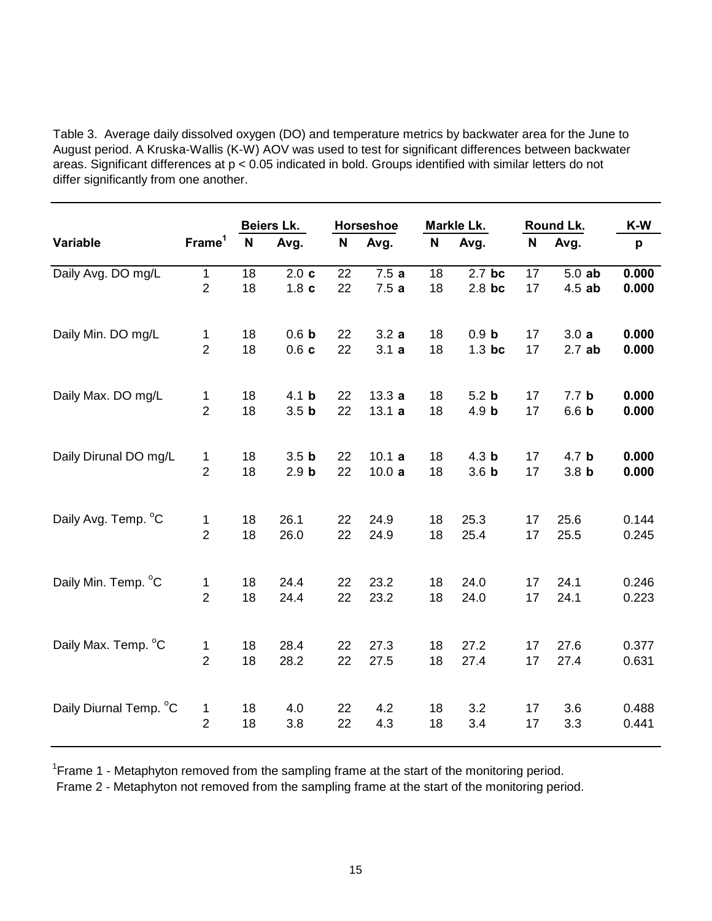Table 3. Average daily dissolved oxygen (DO) and temperature metrics by backwater area for the June to August period. A Kruska-Wallis (K-W) AOV was used to test for significant differences between backwater areas. Significant differences at p < 0.05 indicated in bold. Groups identified with similar letters do not differ significantly from one another.

|                        |                    |    | Beiers Lk.       |    | Horseshoe |    | Markle Lk.       |             | Round Lk.        | K-W   |
|------------------------|--------------------|----|------------------|----|-----------|----|------------------|-------------|------------------|-------|
| Variable               | Frame <sup>1</sup> | N  | Avg.             | N  | Avg.      | N  | Avg.             | $\mathbf N$ | Avg.             | p     |
| Daily Avg. DO mg/L     | $\mathbf 1$        | 18 | 2.0c             | 22 | 7.5a      | 18 | 2.7 bc           | 17          | $5.0$ ab         | 0.000 |
|                        | $\overline{2}$     | 18 | 1.8 <sub>c</sub> | 22 | 7.5a      | 18 | $2.8$ bc         | 17          | $4.5$ ab         | 0.000 |
| Daily Min. DO mg/L     | 1                  | 18 | 0.6 <sub>b</sub> | 22 | 3.2a      | 18 | 0.9 <sub>b</sub> | 17          | 3.0a             | 0.000 |
|                        | $\overline{2}$     | 18 | 0.6c             | 22 | 3.1a      | 18 | $1.3$ bc         | 17          | 2.7ab            | 0.000 |
| Daily Max. DO mg/L     | 1                  | 18 | 4.1 <sub>b</sub> | 22 | 13.3a     | 18 | 5.2 <sub>b</sub> | 17          | 7.7 <sub>b</sub> | 0.000 |
|                        | $\overline{2}$     | 18 | 3.5 <sub>b</sub> | 22 | 13.1a     | 18 | 4.9 <sub>b</sub> | 17          | 6.6 <sub>b</sub> | 0.000 |
| Daily Dirunal DO mg/L  | 1                  | 18 | 3.5 <sub>b</sub> | 22 | 10.1a     | 18 | 4.3 <sub>b</sub> | 17          | 4.7 <sub>b</sub> | 0.000 |
|                        | $\overline{2}$     | 18 | 2.9 <sub>b</sub> | 22 | 10.0a     | 18 | 3.6 <sub>b</sub> | 17          | 3.8 <sub>b</sub> | 0.000 |
| Daily Avg. Temp. °C    | 1                  | 18 | 26.1             | 22 | 24.9      | 18 | 25.3             | 17          | 25.6             | 0.144 |
|                        | $\overline{2}$     | 18 | 26.0             | 22 | 24.9      | 18 | 25.4             | 17          | 25.5             | 0.245 |
| Daily Min. Temp. °C    | 1                  | 18 | 24.4             | 22 | 23.2      | 18 | 24.0             | 17          | 24.1             | 0.246 |
|                        | $\overline{2}$     | 18 | 24.4             | 22 | 23.2      | 18 | 24.0             | 17          | 24.1             | 0.223 |
| Daily Max. Temp. °C    | 1                  | 18 | 28.4             | 22 | 27.3      | 18 | 27.2             | 17          | 27.6             | 0.377 |
|                        | $\overline{2}$     | 18 | 28.2             | 22 | 27.5      | 18 | 27.4             | 17          | 27.4             | 0.631 |
| Daily Diurnal Temp. °C | 1                  | 18 | 4.0              | 22 | 4.2       | 18 | 3.2              | 17          | 3.6              | 0.488 |
|                        | $\overline{2}$     | 18 | 3.8              | 22 | 4.3       | 18 | 3.4              | 17          | 3.3              | 0.441 |

<sup>1</sup> Frame 1 - Metaphyton removed from the sampling frame at the start of the monitoring period.

Frame 2 - Metaphyton not removed from the sampling frame at the start of the monitoring period.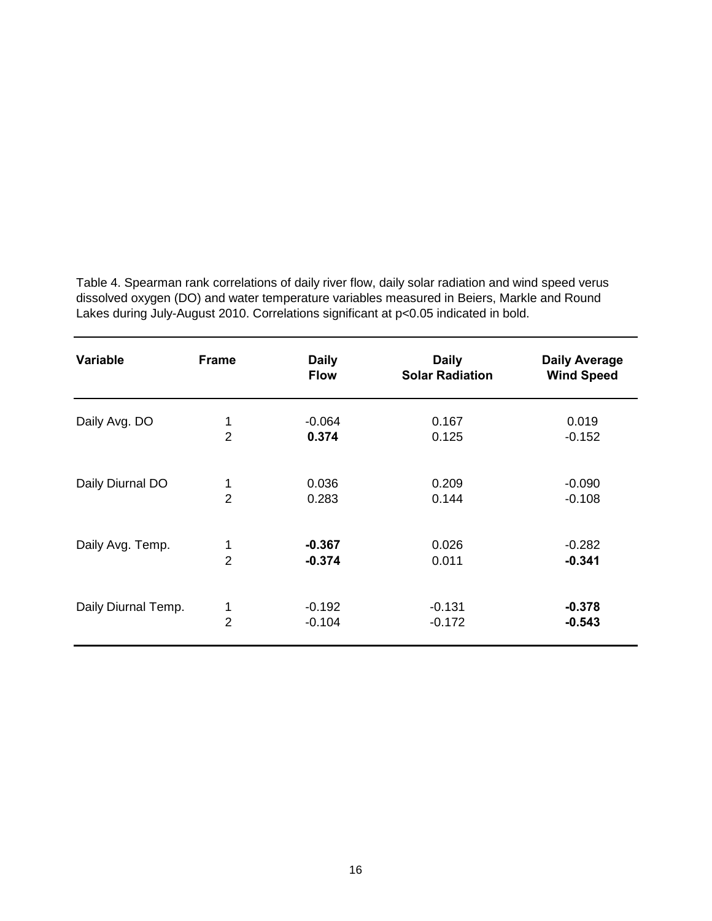Table 4. Spearman rank correlations of daily river flow, daily solar radiation and wind speed verus dissolved oxygen (DO) and water temperature variables measured in Beiers, Markle and Round Lakes during July-August 2010. Correlations significant at p<0.05 indicated in bold.

| <b>Variable</b>     | <b>Frame</b>   | <b>Daily</b><br><b>Flow</b> | <b>Daily</b><br><b>Solar Radiation</b> | <b>Daily Average</b><br><b>Wind Speed</b> |
|---------------------|----------------|-----------------------------|----------------------------------------|-------------------------------------------|
| Daily Avg. DO       | 1              | $-0.064$                    | 0.167                                  | 0.019                                     |
|                     | $\overline{2}$ | 0.374                       | 0.125                                  | $-0.152$                                  |
| Daily Diurnal DO    | 1              | 0.036                       | 0.209                                  | $-0.090$                                  |
|                     | $\overline{2}$ | 0.283                       | 0.144                                  | $-0.108$                                  |
| Daily Avg. Temp.    | 1              | $-0.367$                    | 0.026                                  | $-0.282$                                  |
|                     | $\overline{2}$ | $-0.374$                    | 0.011                                  | $-0.341$                                  |
| Daily Diurnal Temp. | 1              | $-0.192$                    | $-0.131$                               | $-0.378$                                  |
|                     | $\overline{2}$ | $-0.104$                    | $-0.172$                               | $-0.543$                                  |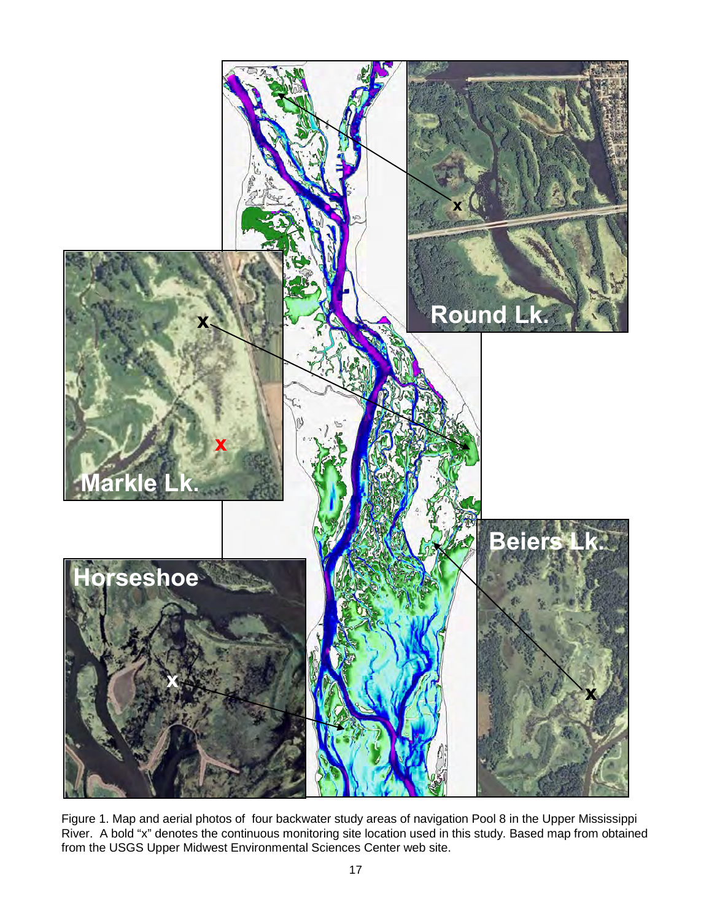

Figure 1. Map and aerial photos of four backwater study areas of navigation Pool 8 in the Upper Mississippi River. A bold "x" denotes the continuous monitoring site location used in this study. Based map from obtained from the USGS Upper Midwest Environmental Sciences Center web site.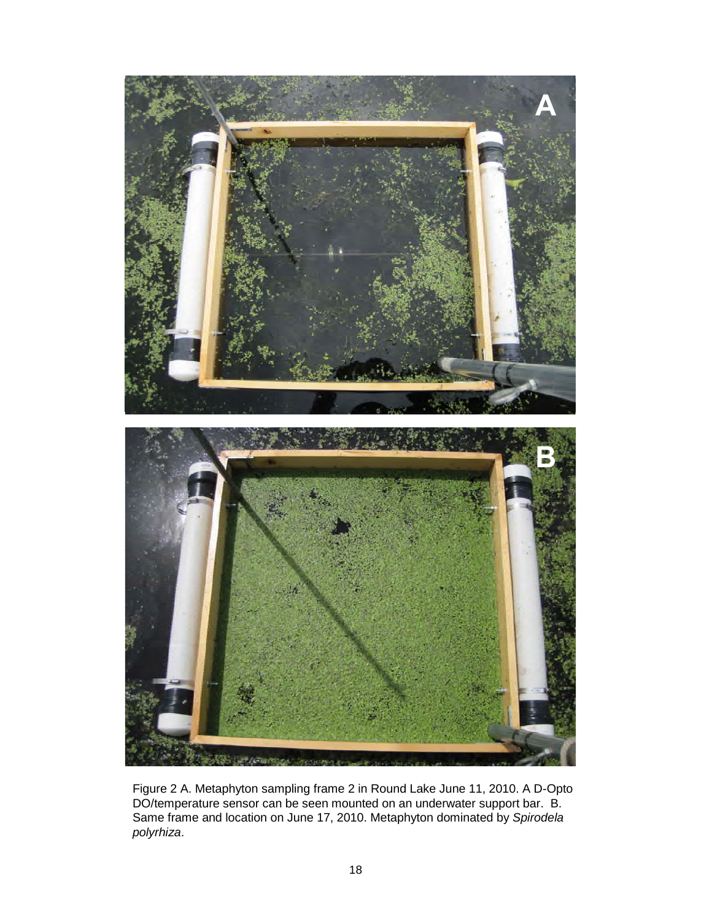

Figure 2 A. Metaphyton sampling frame 2 in Round Lake June 11, 2010. A D-Opto DO/temperature sensor can be seen mounted on an underwater support bar. B. Same frame and location on June 17, 2010. Metaphyton dominated by *Spirodela polyrhiza*.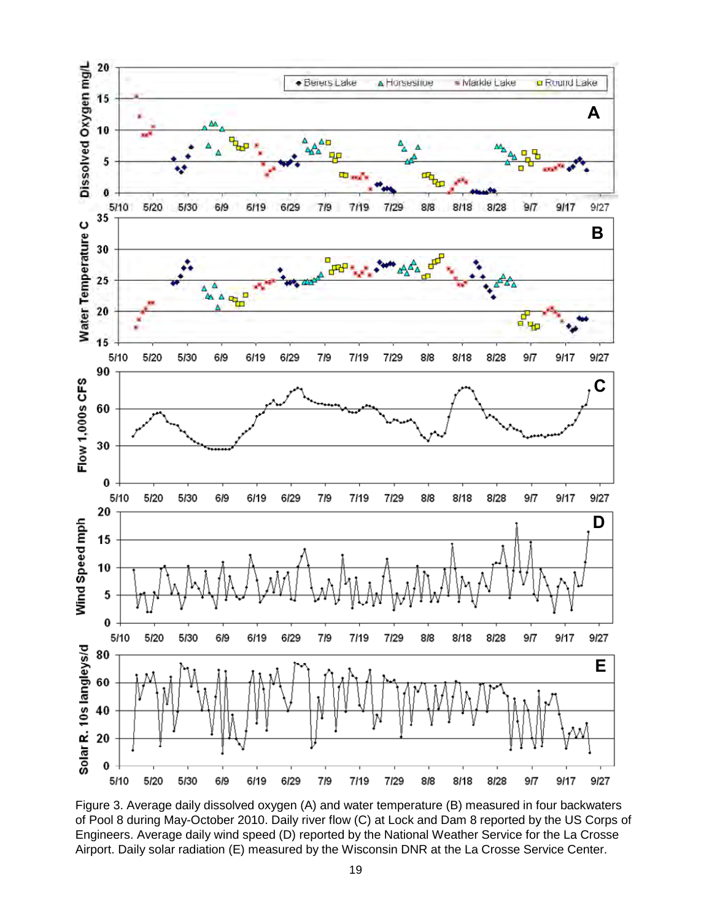

Figure 3. Average daily dissolved oxygen (A) and water temperature (B) measured in four backwaters of Pool 8 during May-October 2010. Daily river flow (C) at Lock and Dam 8 reported by the US Corps of Engineers. Average daily wind speed (D) reported by the National Weather Service for the La Crosse Airport. Daily solar radiation (E) measured by the Wisconsin DNR at the La Crosse Service Center.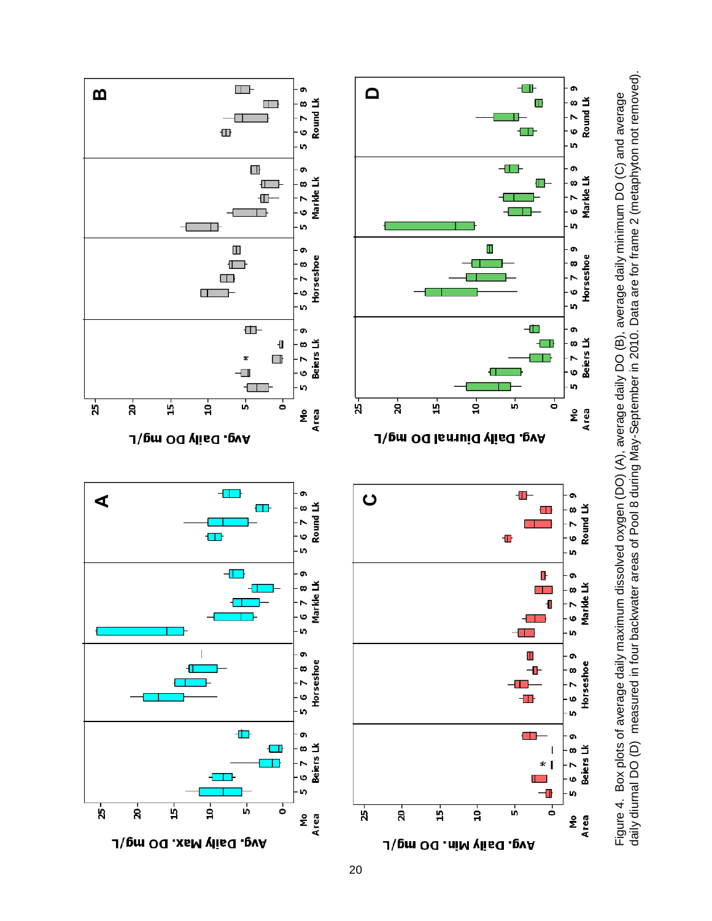

daily diurnal DO (D) measured in four backwater areas of Pool 8 during May-September in 2010. Data are for frame 2 (metaphyton not removed).

20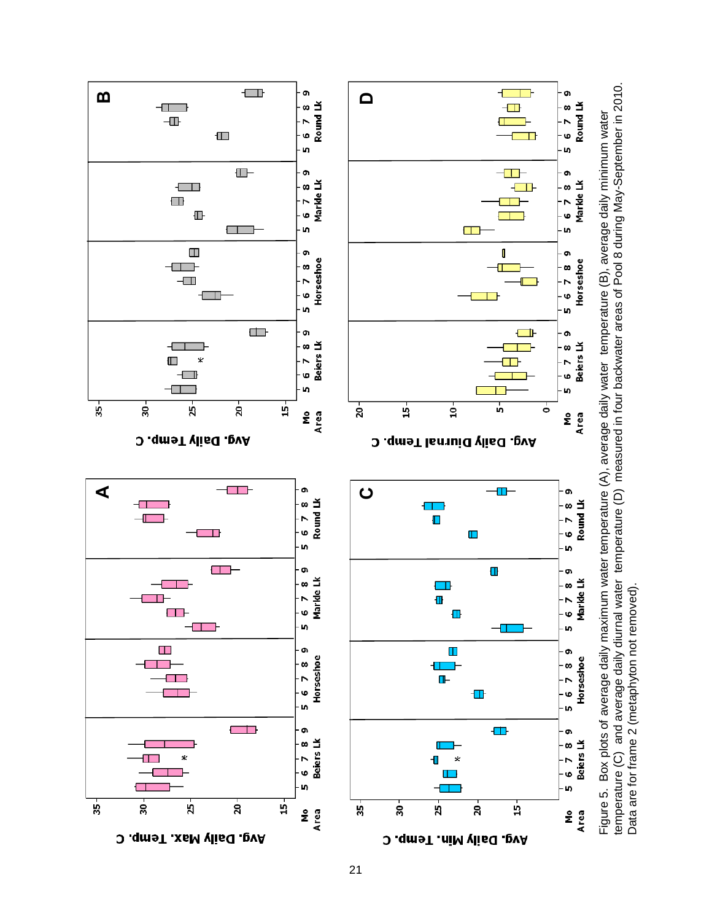



Data are for frame 2 (metaphyton not removed).

Data are for frame 2 (metaphyton not removed).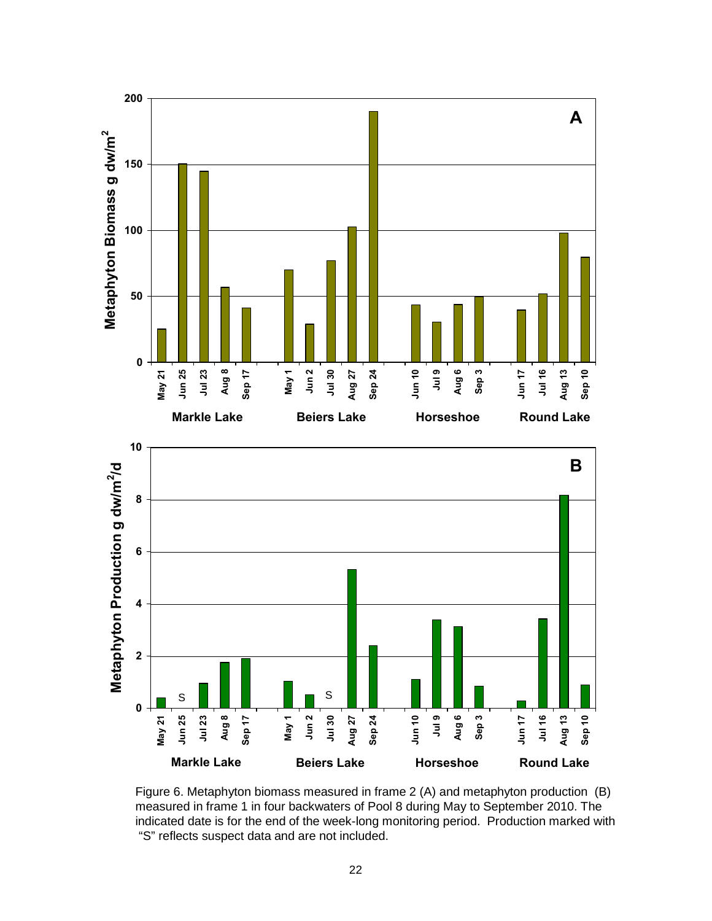

Figure 6. Metaphyton biomass measured in frame 2 (A) and metaphyton production (B) measured in frame 1 in four backwaters of Pool 8 during May to September 2010. The indicated date is for the end of the week-long monitoring period. Production marked with "S" reflects suspect data and are not included.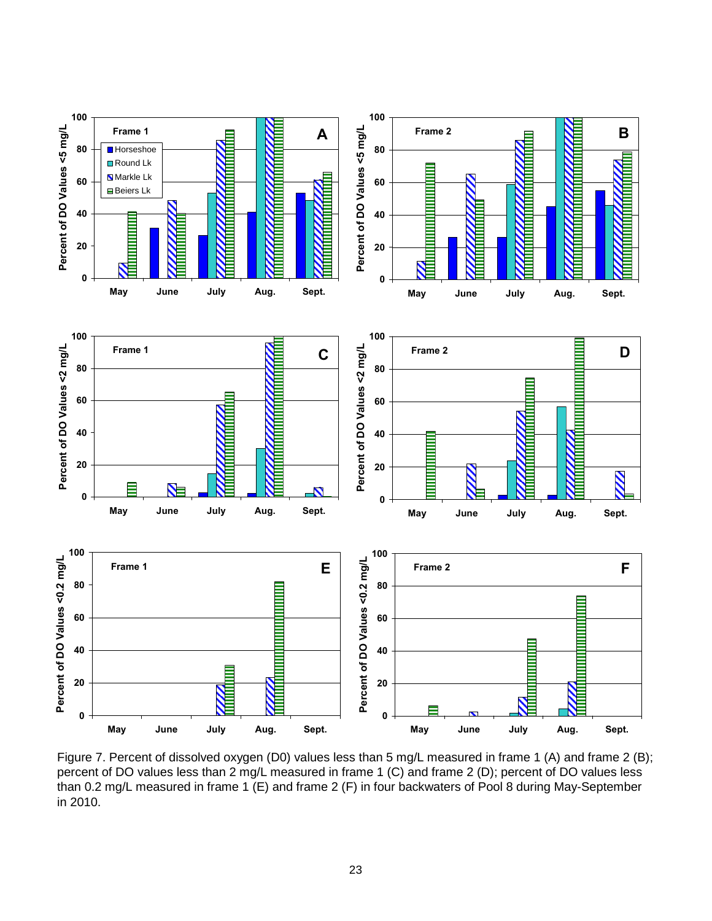

Figure 7. Percent of dissolved oxygen (D0) values less than 5 mg/L measured in frame 1 (A) and frame 2 (B); percent of DO values less than 2 mg/L measured in frame 1 (C) and frame 2 (D); percent of DO values less than 0.2 mg/L measured in frame 1 (E) and frame 2 (F) in four backwaters of Pool 8 during May-September in 2010.